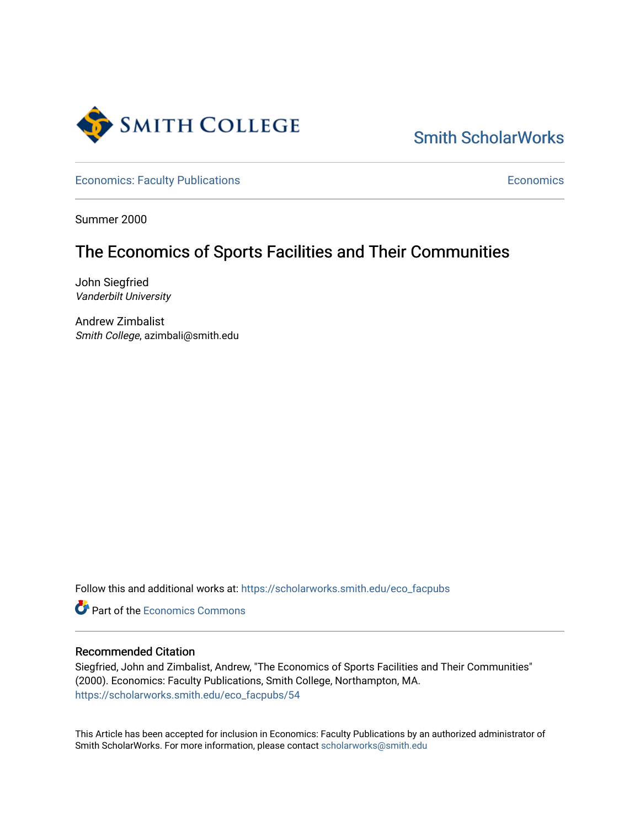

# [Smith ScholarWorks](https://scholarworks.smith.edu/)

[Economics: Faculty Publications](https://scholarworks.smith.edu/eco_facpubs) **Economics** Economics

Summer 2000

# The Economics of Sports Facilities and Their Communities

John Siegfried Vanderbilt University

Andrew Zimbalist Smith College, azimbali@smith.edu

Follow this and additional works at: [https://scholarworks.smith.edu/eco\\_facpubs](https://scholarworks.smith.edu/eco_facpubs?utm_source=scholarworks.smith.edu%2Feco_facpubs%2F54&utm_medium=PDF&utm_campaign=PDFCoverPages) 

**C** Part of the [Economics Commons](http://network.bepress.com/hgg/discipline/340?utm_source=scholarworks.smith.edu%2Feco_facpubs%2F54&utm_medium=PDF&utm_campaign=PDFCoverPages)

# Recommended Citation

Siegfried, John and Zimbalist, Andrew, "The Economics of Sports Facilities and Their Communities" (2000). Economics: Faculty Publications, Smith College, Northampton, MA. [https://scholarworks.smith.edu/eco\\_facpubs/54](https://scholarworks.smith.edu/eco_facpubs/54?utm_source=scholarworks.smith.edu%2Feco_facpubs%2F54&utm_medium=PDF&utm_campaign=PDFCoverPages)

This Article has been accepted for inclusion in Economics: Faculty Publications by an authorized administrator of Smith ScholarWorks. For more information, please contact [scholarworks@smith.edu](mailto:scholarworks@smith.edu)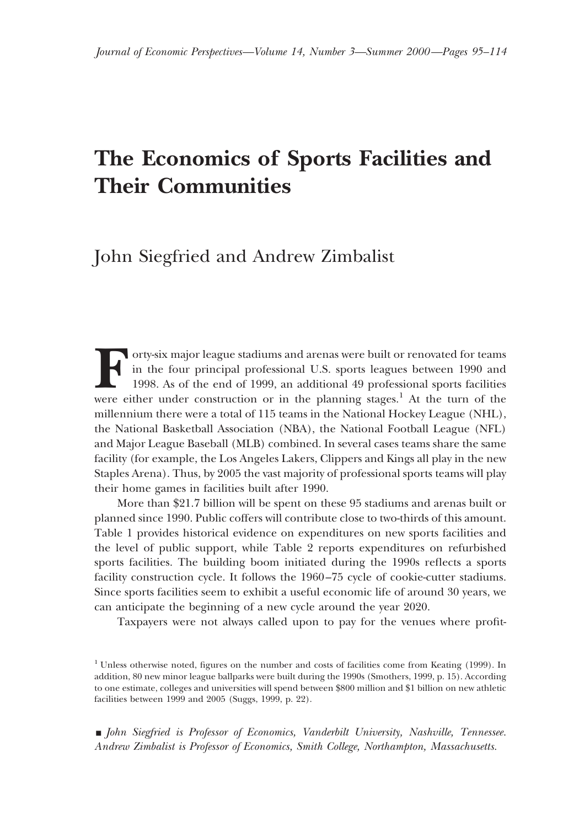# **The Economics of Sports Facilities and Their Communities**

# John Siegfried and Andrew Zimbalist

Forty-six major league stadiums and arenas were built or renovated for teams<br>in the four principal professional U.S. sports leagues between 1990 and<br>1998. As of the end of 1999, an additional 49 professional sports facilit in the four principal professional U.S. sports leagues between 1990 and 1998. As of the end of 1999, an additional 49 professional sports facilities millennium there were a total of 115 teams in the National Hockey League (NHL), the National Basketball Association (NBA), the National Football League (NFL) and Major League Baseball (MLB) combined. In several cases teams share the same facility (for example, the Los Angeles Lakers, Clippers and Kings all play in the new Staples Arena). Thus, by 2005 the vast majority of professional sports teams will play their home games in facilities built after 1990.

More than \$21.7 billion will be spent on these 95 stadiums and arenas built or planned since 1990. Public coffers will contribute close to two-thirds of this amount. Table 1 provides historical evidence on expenditures on new sports facilities and the level of public support, while Table 2 reports expenditures on refurbished sports facilities. The building boom initiated during the 1990s reflects a sports facility construction cycle. It follows the 1960–75 cycle of cookie-cutter stadiums. Since sports facilities seem to exhibit a useful economic life of around 30 years, we can anticipate the beginning of a new cycle around the year 2020.

Taxpayers were not always called upon to pay for the venues where profit-

y *John Siegfried is Professor of Economics, Vanderbilt University, Nashville, Tennessee. Andrew Zimbalist is Professor of Economics, Smith College, Northampton, Massachusetts.*

 $<sup>1</sup>$  Unless otherwise noted, figures on the number and costs of facilities come from Keating (1999). In</sup> addition, 80 new minor league ballparks were built during the 1990s (Smothers, 1999, p. 15). According to one estimate, colleges and universities will spend between \$800 million and \$1 billion on new athletic facilities between 1999 and 2005 (Suggs, 1999, p. 22).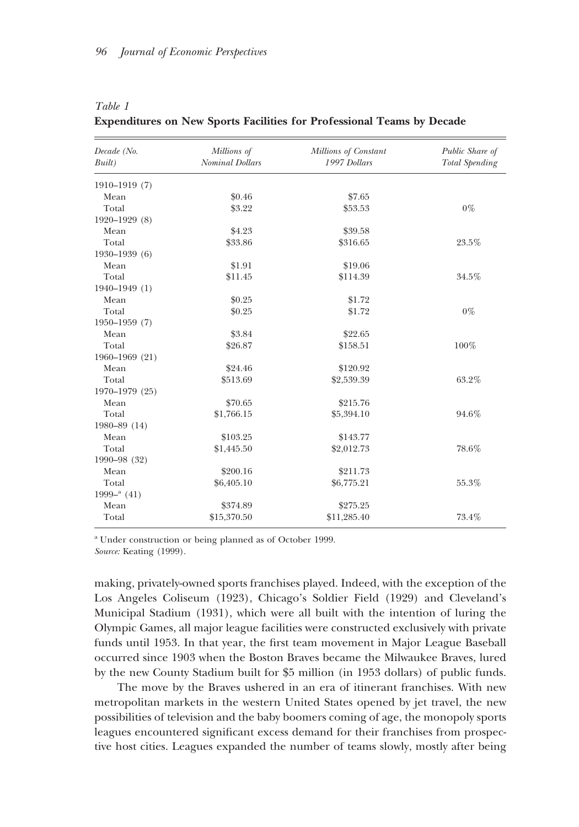| Decade (No.<br>Built)      | Millions of<br><b>Nominal Dollars</b> | Millions of Constant<br>1997 Dollars | Public Share of<br><b>Total Spending</b> |
|----------------------------|---------------------------------------|--------------------------------------|------------------------------------------|
|                            |                                       |                                      |                                          |
| Mean                       | \$0.46                                | \$7.65                               |                                          |
| Total                      | \$3.22                                | \$53.53                              | $0\%$                                    |
| $1920 - 1929(8)$           |                                       |                                      |                                          |
| Mean                       | \$4.23                                | \$39.58                              |                                          |
| Total                      | \$33.86                               | \$316.65                             | 23.5%                                    |
| $1930 - 1939(6)$           |                                       |                                      |                                          |
| Mean                       | \$1.91                                | \$19.06                              |                                          |
| Total                      | \$11.45                               | \$114.39                             | 34.5%                                    |
| $1940 - 1949(1)$           |                                       |                                      |                                          |
| Mean                       | \$0.25                                | \$1.72                               |                                          |
| Total                      | \$0.25                                | \$1.72                               | $0\%$                                    |
| $1950 - 1959(7)$           |                                       |                                      |                                          |
| Mean                       | \$3.84                                | \$22.65                              |                                          |
| Total                      | \$26.87                               | \$158.51                             | 100%                                     |
| 1960-1969 (21)             |                                       |                                      |                                          |
| Mean                       | \$24.46                               | \$120.92                             |                                          |
| Total                      | \$513.69                              | \$2,539.39                           | 63.2%                                    |
| 1970-1979 (25)             |                                       |                                      |                                          |
| Mean                       | \$70.65                               | \$215.76                             |                                          |
| Total                      | \$1,766.15                            | \$5,394.10                           | 94.6%                                    |
| 1980-89 (14)               |                                       |                                      |                                          |
| Mean                       | \$103.25                              | \$143.77                             |                                          |
| Total                      | \$1,445.50                            | \$2,012.73                           | $78.6\%$                                 |
| 1990-98 (32)               |                                       |                                      |                                          |
| Mean                       | \$200.16                              | \$211.73                             |                                          |
| Total                      | \$6,405.10                            | \$6,775.21                           | 55.3%                                    |
| $1999 -$ <sup>a</sup> (41) |                                       |                                      |                                          |
| Mean                       | \$374.89                              | \$275.25                             |                                          |
| Total                      | \$15,370.50                           | \$11,285.40                          | 73.4%                                    |

### *Table 1* **Expenditures on New Sports Facilities for Professional Teams by Decade**

<sup>a</sup> Under construction or being planned as of October 1999. *Source:* Keating (1999).

making, privately-owned sports franchises played. Indeed, with the exception of the Los Angeles Coliseum (1923), Chicago's Soldier Field (1929) and Cleveland's Municipal Stadium (1931), which were all built with the intention of luring the Olympic Games, all major league facilities were constructed exclusively with private funds until 1953. In that year, the first team movement in Major League Baseball occurred since 1903 when the Boston Braves became the Milwaukee Braves, lured by the new County Stadium built for \$5 million (in 1953 dollars) of public funds.

The move by the Braves ushered in an era of itinerant franchises. With new metropolitan markets in the western United States opened by jet travel, the new possibilities of television and the baby boomers coming of age, the monopoly sports leagues encountered significant excess demand for their franchises from prospective host cities. Leagues expanded the number of teams slowly, mostly after being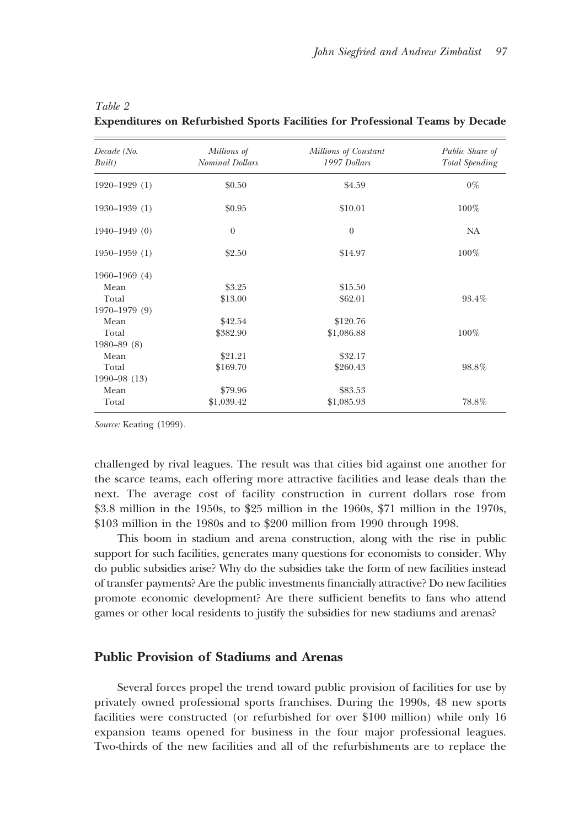| Decade (No.<br>Built) | Millions of<br><b>Nominal Dollars</b> | Millions of Constant<br>1997 Dollars | Public Share of<br><b>Total Spending</b> |
|-----------------------|---------------------------------------|--------------------------------------|------------------------------------------|
| $1920 - 1929(1)$      | \$0.50                                | \$4.59                               | $0\%$                                    |
| $1930 - 1939(1)$      | \$0.95                                | \$10.01                              | $100\%$                                  |
| $1940 - 1949(0)$      | $\theta$                              | $\theta$                             | NA                                       |
| $1950 - 1959(1)$      | \$2.50                                | \$14.97                              | $100\%$                                  |
| $1960 - 1969(4)$      |                                       |                                      |                                          |
| Mean                  | \$3.25                                | \$15.50                              |                                          |
| Total                 | \$13.00                               | \$62.01                              | 93.4%                                    |
| $1970 - 1979(9)$      |                                       |                                      |                                          |
| Mean                  | \$42.54                               | \$120.76                             |                                          |
| Total                 | \$382.90                              | \$1,086.88                           | 100%                                     |
| $1980 - 89(8)$        |                                       |                                      |                                          |
| Mean                  | \$21.21                               | \$32.17                              |                                          |
| Total                 | \$169.70                              | \$260.43                             | 98.8%                                    |
| $1990 - 98(13)$       |                                       |                                      |                                          |
| Mean                  | \$79.96                               | \$83.53                              |                                          |
| Total                 | \$1,039.42                            | \$1,085.93                           | 78.8%                                    |

#### *Table 2*

**Expenditures on Refurbished Sports Facilities for Professional Teams by Decade**

*Source:* Keating (1999).

challenged by rival leagues. The result was that cities bid against one another for the scarce teams, each offering more attractive facilities and lease deals than the next. The average cost of facility construction in current dollars rose from \$3.8 million in the 1950s, to \$25 million in the 1960s, \$71 million in the 1970s, \$103 million in the 1980s and to \$200 million from 1990 through 1998.

This boom in stadium and arena construction, along with the rise in public support for such facilities, generates many questions for economists to consider. Why do public subsidies arise? Why do the subsidies take the form of new facilities instead of transfer payments? Are the public investments financially attractive? Do new facilities promote economic development? Are there sufficient benefits to fans who attend games or other local residents to justify the subsidies for new stadiums and arenas?

## **Public Provision of Stadiums and Arenas**

Several forces propel the trend toward public provision of facilities for use by privately owned professional sports franchises. During the 1990s, 48 new sports facilities were constructed (or refurbished for over \$100 million) while only 16 expansion teams opened for business in the four major professional leagues. Two-thirds of the new facilities and all of the refurbishments are to replace the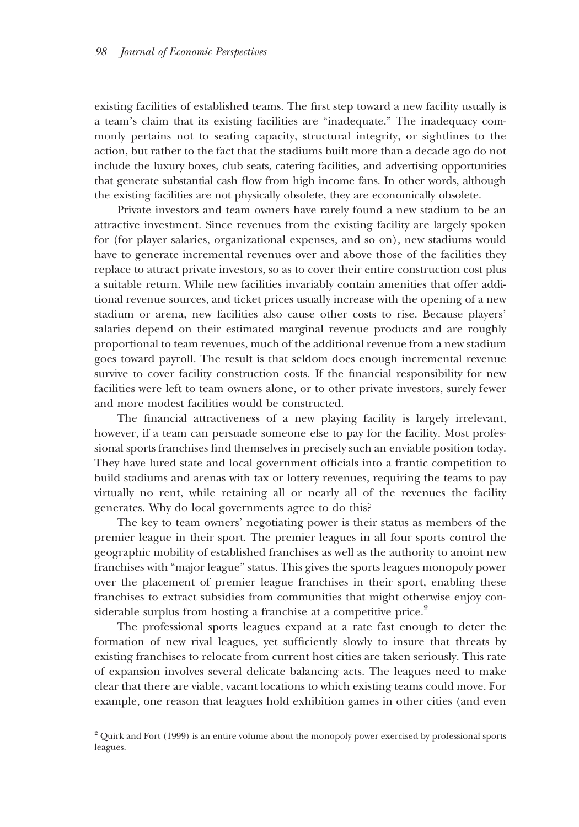existing facilities of established teams. The first step toward a new facility usually is a team's claim that its existing facilities are "inadequate." The inadequacy commonly pertains not to seating capacity, structural integrity, or sightlines to the action, but rather to the fact that the stadiums built more than a decade ago do not include the luxury boxes, club seats, catering facilities, and advertising opportunities that generate substantial cash flow from high income fans. In other words, although the existing facilities are not physically obsolete, they are economically obsolete.

Private investors and team owners have rarely found a new stadium to be an attractive investment. Since revenues from the existing facility are largely spoken for (for player salaries, organizational expenses, and so on), new stadiums would have to generate incremental revenues over and above those of the facilities they replace to attract private investors, so as to cover their entire construction cost plus a suitable return. While new facilities invariably contain amenities that offer additional revenue sources, and ticket prices usually increase with the opening of a new stadium or arena, new facilities also cause other costs to rise. Because players' salaries depend on their estimated marginal revenue products and are roughly proportional to team revenues, much of the additional revenue from a new stadium goes toward payroll. The result is that seldom does enough incremental revenue survive to cover facility construction costs. If the financial responsibility for new facilities were left to team owners alone, or to other private investors, surely fewer and more modest facilities would be constructed.

The financial attractiveness of a new playing facility is largely irrelevant, however, if a team can persuade someone else to pay for the facility. Most professional sports franchises find themselves in precisely such an enviable position today. They have lured state and local government officials into a frantic competition to build stadiums and arenas with tax or lottery revenues, requiring the teams to pay virtually no rent, while retaining all or nearly all of the revenues the facility generates. Why do local governments agree to do this?

The key to team owners' negotiating power is their status as members of the premier league in their sport. The premier leagues in all four sports control the geographic mobility of established franchises as well as the authority to anoint new franchises with "major league" status. This gives the sports leagues monopoly power over the placement of premier league franchises in their sport, enabling these franchises to extract subsidies from communities that might otherwise enjoy considerable surplus from hosting a franchise at a competitive price.<sup>2</sup>

The professional sports leagues expand at a rate fast enough to deter the formation of new rival leagues, yet sufficiently slowly to insure that threats by existing franchises to relocate from current host cities are taken seriously. This rate of expansion involves several delicate balancing acts. The leagues need to make clear that there are viable, vacant locations to which existing teams could move. For example, one reason that leagues hold exhibition games in other cities (and even

 $2^2$  Quirk and Fort (1999) is an entire volume about the monopoly power exercised by professional sports leagues.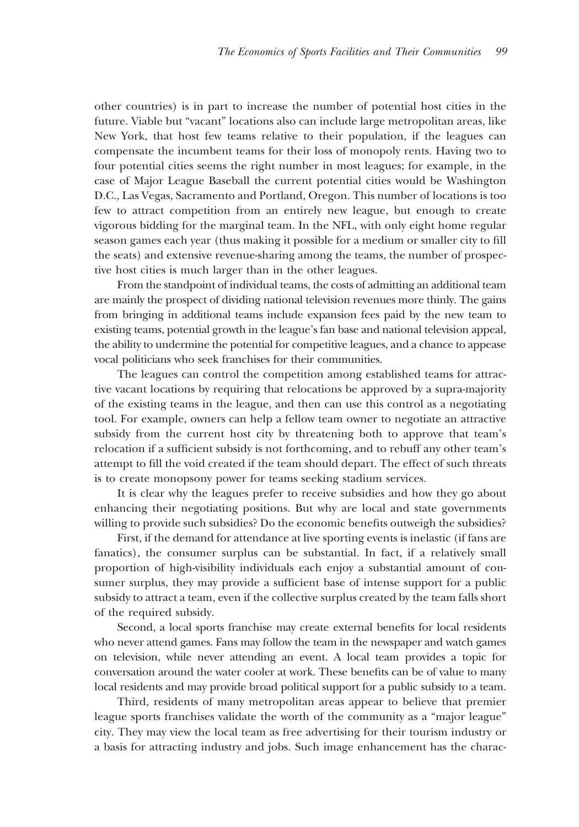other countries) is in part to increase the number of potential host cities in the future. Viable but "vacant" locations also can include large metropolitan areas, like New York, that host few teams relative to their population, if the leagues can compensate the incumbent teams for their loss of monopoly rents. Having two to four potential cities seems the right number in most leagues; for example, in the case of Major League Baseball the current potential cities would be Washington D.C., Las Vegas, Sacramento and Portland, Oregon. This number of locations is too few to attract competition from an entirely new league, but enough to create vigorous bidding for the marginal team. In the NFL, with only eight home regular season games each year (thus making it possible for a medium or smaller city to fill the seats) and extensive revenue-sharing among the teams, the number of prospective host cities is much larger than in the other leagues.

From the standpoint of individual teams, the costs of admitting an additional team are mainly the prospect of dividing national television revenues more thinly. The gains from bringing in additional teams include expansion fees paid by the new team to existing teams, potential growth in the league's fan base and national television appeal, the ability to undermine the potential for competitive leagues, and a chance to appease vocal politicians who seek franchises for their communities.

The leagues can control the competition among established teams for attractive vacant locations by requiring that relocations be approved by a supra-majority of the existing teams in the league, and then can use this control as a negotiating tool. For example, owners can help a fellow team owner to negotiate an attractive subsidy from the current host city by threatening both to approve that team's relocation if a sufficient subsidy is not forthcoming, and to rebuff any other team's attempt to fill the void created if the team should depart. The effect of such threats is to create monopsony power for teams seeking stadium services.

It is clear why the leagues prefer to receive subsidies and how they go about enhancing their negotiating positions. But why are local and state governments willing to provide such subsidies? Do the economic benefits outweigh the subsidies?

First, if the demand for attendance at live sporting events is inelastic (if fans are fanatics), the consumer surplus can be substantial. In fact, if a relatively small proportion of high-visibility individuals each enjoy a substantial amount of consumer surplus, they may provide a sufficient base of intense support for a public subsidy to attract a team, even if the collective surplus created by the team falls short of the required subsidy.

Second, a local sports franchise may create external benefits for local residents who never attend games. Fans may follow the team in the newspaper and watch games on television, while never attending an event. A local team provides a topic for conversation around the water cooler at work. These benefits can be of value to many local residents and may provide broad political support for a public subsidy to a team.

Third, residents of many metropolitan areas appear to believe that premier league sports franchises validate the worth of the community as a "major league" city. They may view the local team as free advertising for their tourism industry or a basis for attracting industry and jobs. Such image enhancement has the charac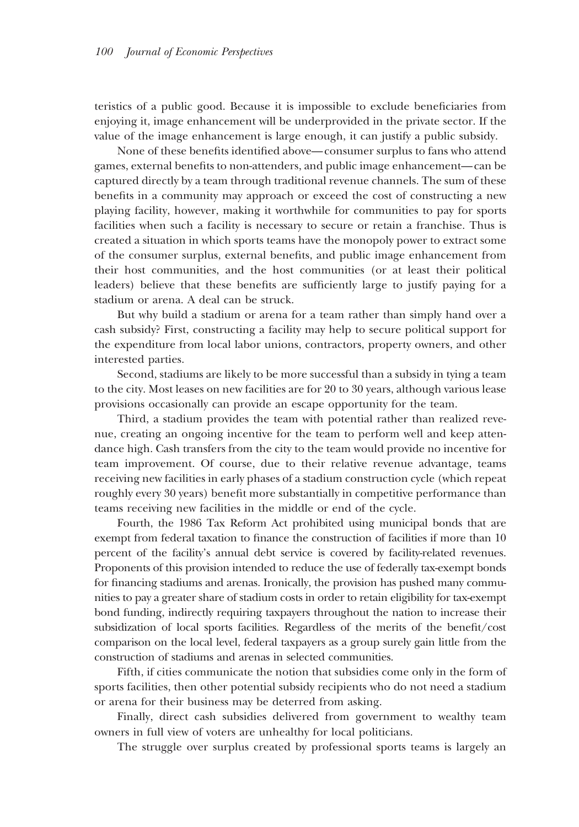teristics of a public good. Because it is impossible to exclude beneficiaries from enjoying it, image enhancement will be underprovided in the private sector. If the value of the image enhancement is large enough, it can justify a public subsidy.

None of these benefits identified above—consumer surplus to fans who attend games, external benefits to non-attenders, and public image enhancement—can be captured directly by a team through traditional revenue channels. The sum of these benefits in a community may approach or exceed the cost of constructing a new playing facility, however, making it worthwhile for communities to pay for sports facilities when such a facility is necessary to secure or retain a franchise. Thus is created a situation in which sports teams have the monopoly power to extract some of the consumer surplus, external benefits, and public image enhancement from their host communities, and the host communities (or at least their political leaders) believe that these benefits are sufficiently large to justify paying for a stadium or arena. A deal can be struck.

But why build a stadium or arena for a team rather than simply hand over a cash subsidy? First, constructing a facility may help to secure political support for the expenditure from local labor unions, contractors, property owners, and other interested parties.

Second, stadiums are likely to be more successful than a subsidy in tying a team to the city. Most leases on new facilities are for 20 to 30 years, although various lease provisions occasionally can provide an escape opportunity for the team.

Third, a stadium provides the team with potential rather than realized revenue, creating an ongoing incentive for the team to perform well and keep attendance high. Cash transfers from the city to the team would provide no incentive for team improvement. Of course, due to their relative revenue advantage, teams receiving new facilities in early phases of a stadium construction cycle (which repeat roughly every 30 years) benefit more substantially in competitive performance than teams receiving new facilities in the middle or end of the cycle.

Fourth, the 1986 Tax Reform Act prohibited using municipal bonds that are exempt from federal taxation to finance the construction of facilities if more than 10 percent of the facility's annual debt service is covered by facility-related revenues. Proponents of this provision intended to reduce the use of federally tax-exempt bonds for financing stadiums and arenas. Ironically, the provision has pushed many communities to pay a greater share of stadium costs in order to retain eligibility for tax-exempt bond funding, indirectly requiring taxpayers throughout the nation to increase their subsidization of local sports facilities. Regardless of the merits of the benefit/cost comparison on the local level, federal taxpayers as a group surely gain little from the construction of stadiums and arenas in selected communities.

Fifth, if cities communicate the notion that subsidies come only in the form of sports facilities, then other potential subsidy recipients who do not need a stadium or arena for their business may be deterred from asking.

Finally, direct cash subsidies delivered from government to wealthy team owners in full view of voters are unhealthy for local politicians.

The struggle over surplus created by professional sports teams is largely an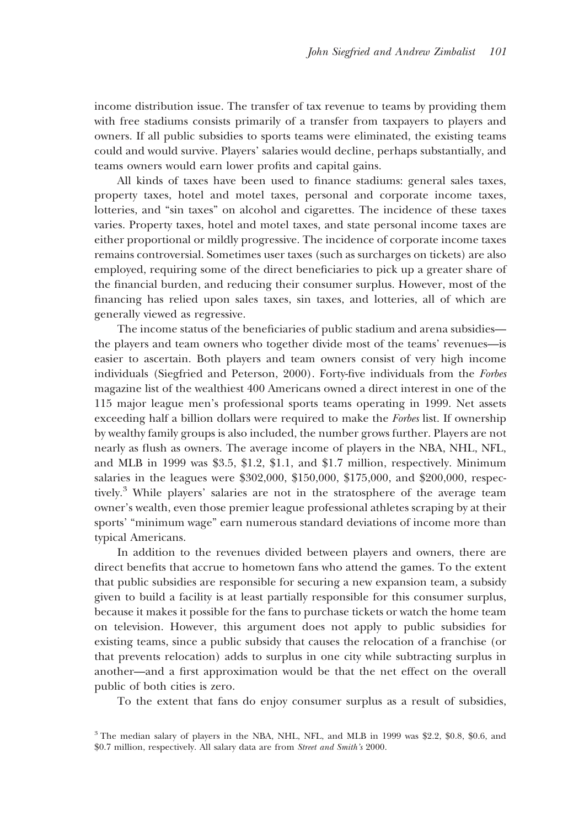income distribution issue. The transfer of tax revenue to teams by providing them with free stadiums consists primarily of a transfer from taxpayers to players and owners. If all public subsidies to sports teams were eliminated, the existing teams could and would survive. Players' salaries would decline, perhaps substantially, and teams owners would earn lower profits and capital gains.

All kinds of taxes have been used to finance stadiums: general sales taxes, property taxes, hotel and motel taxes, personal and corporate income taxes, lotteries, and "sin taxes" on alcohol and cigarettes. The incidence of these taxes varies. Property taxes, hotel and motel taxes, and state personal income taxes are either proportional or mildly progressive. The incidence of corporate income taxes remains controversial. Sometimes user taxes (such as surcharges on tickets) are also employed, requiring some of the direct beneficiaries to pick up a greater share of the financial burden, and reducing their consumer surplus. However, most of the financing has relied upon sales taxes, sin taxes, and lotteries, all of which are generally viewed as regressive.

The income status of the beneficiaries of public stadium and arena subsidies the players and team owners who together divide most of the teams' revenues—is easier to ascertain. Both players and team owners consist of very high income individuals (Siegfried and Peterson, 2000). Forty-five individuals from the *Forbes* magazine list of the wealthiest 400 Americans owned a direct interest in one of the 115 major league men's professional sports teams operating in 1999. Net assets exceeding half a billion dollars were required to make the *Forbes* list. If ownership by wealthy family groups is also included, the number grows further. Players are not nearly as flush as owners. The average income of players in the NBA, NHL, NFL, and MLB in 1999 was  $$3.5, $1.2, $1.1, and $1.7 million, respectively. Minimum$ salaries in the leagues were \$302,000, \$150,000, \$175,000, and \$200,000, respectively.<sup>3</sup> While players' salaries are not in the stratosphere of the average team owner's wealth, even those premier league professional athletes scraping by at their sports' "minimum wage" earn numerous standard deviations of income more than typical Americans.

In addition to the revenues divided between players and owners, there are direct benefits that accrue to hometown fans who attend the games. To the extent that public subsidies are responsible for securing a new expansion team, a subsidy given to build a facility is at least partially responsible for this consumer surplus, because it makes it possible for the fans to purchase tickets or watch the home team on television. However, this argument does not apply to public subsidies for existing teams, since a public subsidy that causes the relocation of a franchise (or that prevents relocation) adds to surplus in one city while subtracting surplus in another—and a first approximation would be that the net effect on the overall public of both cities is zero.

To the extent that fans do enjoy consumer surplus as a result of subsidies,

 $3$  The median salary of players in the NBA, NHL, NFL, and MLB in 1999 was \$2.2, \$0.8, \$0.6, and \$0.7 million, respectively. All salary data are from *Street and Smith's* 2000.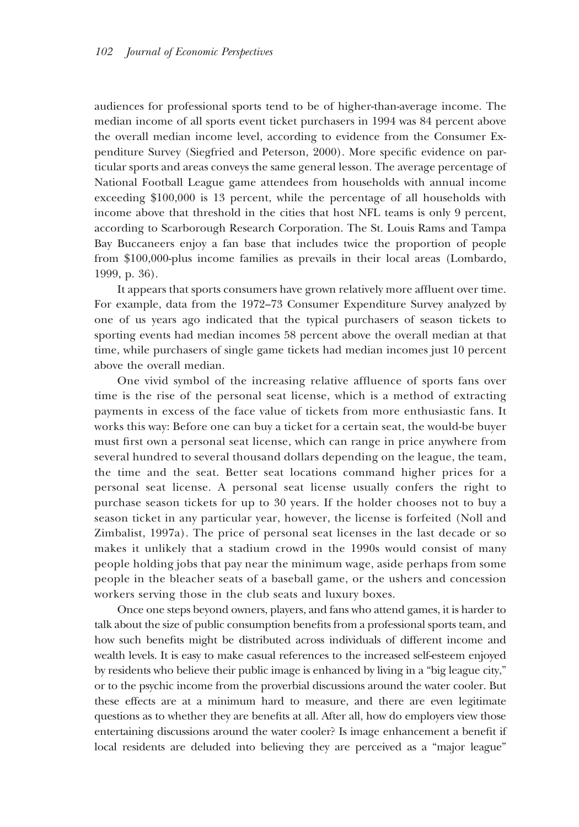audiences for professional sports tend to be of higher-than-average income. The median income of all sports event ticket purchasers in 1994 was 84 percent above the overall median income level, according to evidence from the Consumer Expenditure Survey (Siegfried and Peterson, 2000). More specific evidence on particular sports and areas conveys the same general lesson. The average percentage of National Football League game attendees from households with annual income exceeding \$100,000 is 13 percent, while the percentage of all households with income above that threshold in the cities that host NFL teams is only 9 percent, according to Scarborough Research Corporation. The St. Louis Rams and Tampa Bay Buccaneers enjoy a fan base that includes twice the proportion of people from \$100,000-plus income families as prevails in their local areas (Lombardo, 1999, p. 36).

It appears that sports consumers have grown relatively more affluent over time. For example, data from the 1972–73 Consumer Expenditure Survey analyzed by one of us years ago indicated that the typical purchasers of season tickets to sporting events had median incomes 58 percent above the overall median at that time, while purchasers of single game tickets had median incomes just 10 percent above the overall median.

One vivid symbol of the increasing relative affluence of sports fans over time is the rise of the personal seat license, which is a method of extracting payments in excess of the face value of tickets from more enthusiastic fans. It works this way: Before one can buy a ticket for a certain seat, the would-be buyer must first own a personal seat license, which can range in price anywhere from several hundred to several thousand dollars depending on the league, the team, the time and the seat. Better seat locations command higher prices for a personal seat license. A personal seat license usually confers the right to purchase season tickets for up to 30 years. If the holder chooses not to buy a season ticket in any particular year, however, the license is forfeited (Noll and Zimbalist, 1997a). The price of personal seat licenses in the last decade or so makes it unlikely that a stadium crowd in the 1990s would consist of many people holding jobs that pay near the minimum wage, aside perhaps from some people in the bleacher seats of a baseball game, or the ushers and concession workers serving those in the club seats and luxury boxes.

Once one steps beyond owners, players, and fans who attend games, it is harder to talk about the size of public consumption benefits from a professional sports team, and how such benefits might be distributed across individuals of different income and wealth levels. It is easy to make casual references to the increased self-esteem enjoyed by residents who believe their public image is enhanced by living in a "big league city," or to the psychic income from the proverbial discussions around the water cooler. But these effects are at a minimum hard to measure, and there are even legitimate questions as to whether they are benefits at all. After all, how do employers view those entertaining discussions around the water cooler? Is image enhancement a benefit if local residents are deluded into believing they are perceived as a "major league"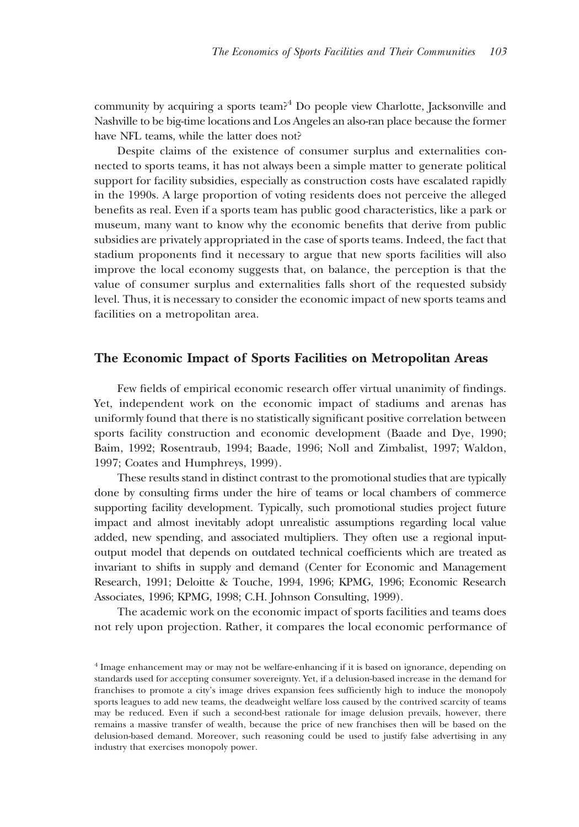community by acquiring a sports team?4 Do people view Charlotte, Jacksonville and Nashville to be big-time locations and Los Angeles an also-ran place because the former have NFL teams, while the latter does not?

Despite claims of the existence of consumer surplus and externalities connected to sports teams, it has not always been a simple matter to generate political support for facility subsidies, especially as construction costs have escalated rapidly in the 1990s. A large proportion of voting residents does not perceive the alleged benefits as real. Even if a sports team has public good characteristics, like a park or museum, many want to know why the economic benefits that derive from public subsidies are privately appropriated in the case of sports teams. Indeed, the fact that stadium proponents find it necessary to argue that new sports facilities will also improve the local economy suggests that, on balance, the perception is that the value of consumer surplus and externalities falls short of the requested subsidy level. Thus, it is necessary to consider the economic impact of new sports teams and facilities on a metropolitan area.

### **The Economic Impact of Sports Facilities on Metropolitan Areas**

Few fields of empirical economic research offer virtual unanimity of findings. Yet, independent work on the economic impact of stadiums and arenas has uniformly found that there is no statistically significant positive correlation between sports facility construction and economic development (Baade and Dye, 1990; Baim, 1992; Rosentraub, 1994; Baade, 1996; Noll and Zimbalist, 1997; Waldon, 1997; Coates and Humphreys, 1999).

These results stand in distinct contrast to the promotional studies that are typically done by consulting firms under the hire of teams or local chambers of commerce supporting facility development. Typically, such promotional studies project future impact and almost inevitably adopt unrealistic assumptions regarding local value added, new spending, and associated multipliers. They often use a regional inputoutput model that depends on outdated technical coefficients which are treated as invariant to shifts in supply and demand (Center for Economic and Management Research, 1991; Deloitte & Touche, 1994, 1996; KPMG, 1996; Economic Research Associates, 1996; KPMG, 1998; C.H. Johnson Consulting, 1999).

The academic work on the economic impact of sports facilities and teams does not rely upon projection. Rather, it compares the local economic performance of

<sup>4</sup> Image enhancement may or may not be welfare-enhancing if it is based on ignorance, depending on standards used for accepting consumer sovereignty. Yet, if a delusion-based increase in the demand for franchises to promote a city's image drives expansion fees sufficiently high to induce the monopoly sports leagues to add new teams, the deadweight welfare loss caused by the contrived scarcity of teams may be reduced. Even if such a second-best rationale for image delusion prevails, however, there remains a massive transfer of wealth, because the price of new franchises then will be based on the delusion-based demand. Moreover, such reasoning could be used to justify false advertising in any industry that exercises monopoly power.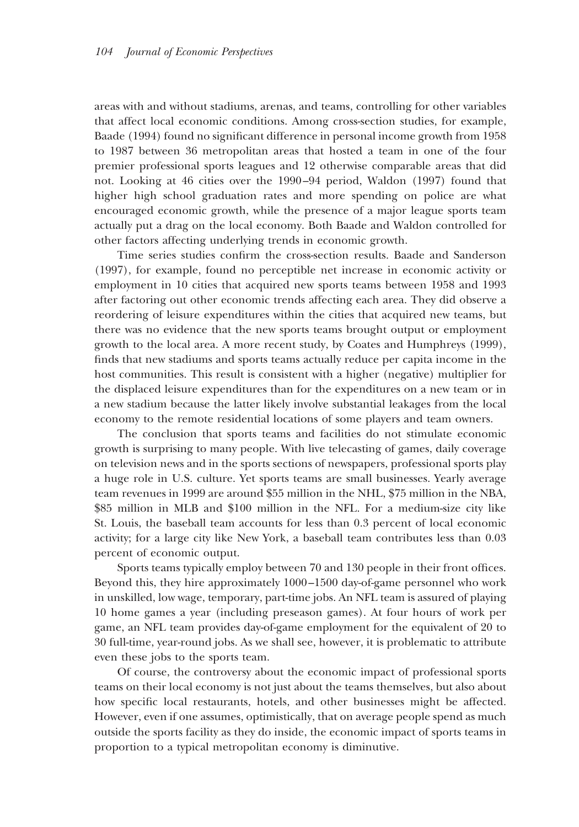areas with and without stadiums, arenas, and teams, controlling for other variables that affect local economic conditions. Among cross-section studies, for example, Baade (1994) found no significant difference in personal income growth from 1958 to 1987 between 36 metropolitan areas that hosted a team in one of the four premier professional sports leagues and 12 otherwise comparable areas that did not. Looking at 46 cities over the 1990–94 period, Waldon (1997) found that higher high school graduation rates and more spending on police are what encouraged economic growth, while the presence of a major league sports team actually put a drag on the local economy. Both Baade and Waldon controlled for other factors affecting underlying trends in economic growth.

Time series studies confirm the cross-section results. Baade and Sanderson (1997), for example, found no perceptible net increase in economic activity or employment in 10 cities that acquired new sports teams between 1958 and 1993 after factoring out other economic trends affecting each area. They did observe a reordering of leisure expenditures within the cities that acquired new teams, but there was no evidence that the new sports teams brought output or employment growth to the local area. A more recent study, by Coates and Humphreys (1999), finds that new stadiums and sports teams actually reduce per capita income in the host communities. This result is consistent with a higher (negative) multiplier for the displaced leisure expenditures than for the expenditures on a new team or in a new stadium because the latter likely involve substantial leakages from the local economy to the remote residential locations of some players and team owners.

The conclusion that sports teams and facilities do not stimulate economic growth is surprising to many people. With live telecasting of games, daily coverage on television news and in the sports sections of newspapers, professional sports play a huge role in U.S. culture. Yet sports teams are small businesses. Yearly average team revenues in 1999 are around \$55 million in the NHL, \$75 million in the NBA, \$85 million in MLB and \$100 million in the NFL. For a medium-size city like St. Louis, the baseball team accounts for less than 0.3 percent of local economic activity; for a large city like New York, a baseball team contributes less than 0.03 percent of economic output.

Sports teams typically employ between 70 and 130 people in their front offices. Beyond this, they hire approximately 1000–1500 day-of-game personnel who work in unskilled, low wage, temporary, part-time jobs. An NFL team is assured of playing 10 home games a year (including preseason games). At four hours of work per game, an NFL team provides day-of-game employment for the equivalent of 20 to 30 full-time, year-round jobs. As we shall see, however, it is problematic to attribute even these jobs to the sports team.

Of course, the controversy about the economic impact of professional sports teams on their local economy is not just about the teams themselves, but also about how specific local restaurants, hotels, and other businesses might be affected. However, even if one assumes, optimistically, that on average people spend as much outside the sports facility as they do inside, the economic impact of sports teams in proportion to a typical metropolitan economy is diminutive.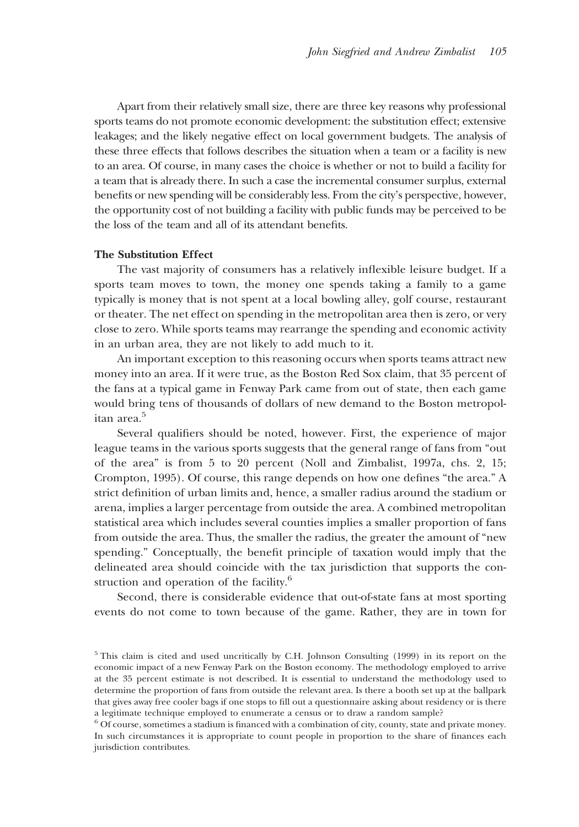Apart from their relatively small size, there are three key reasons why professional sports teams do not promote economic development: the substitution effect; extensive leakages; and the likely negative effect on local government budgets. The analysis of these three effects that follows describes the situation when a team or a facility is new to an area. Of course, in many cases the choice is whether or not to build a facility for a team that is already there. In such a case the incremental consumer surplus, external benefits or new spending will be considerably less. From the city's perspective, however, the opportunity cost of not building a facility with public funds may be perceived to be the loss of the team and all of its attendant benefits.

#### **The Substitution Effect**

The vast majority of consumers has a relatively inflexible leisure budget. If a sports team moves to town, the money one spends taking a family to a game typically is money that is not spent at a local bowling alley, golf course, restaurant or theater. The net effect on spending in the metropolitan area then is zero, or very close to zero. While sports teams may rearrange the spending and economic activity in an urban area, they are not likely to add much to it.

An important exception to this reasoning occurs when sports teams attract new money into an area. If it were true, as the Boston Red Sox claim, that 35 percent of the fans at a typical game in Fenway Park came from out of state, then each game would bring tens of thousands of dollars of new demand to the Boston metropolitan area.<sup>5</sup>

Several qualifiers should be noted, however. First, the experience of major league teams in the various sports suggests that the general range of fans from "out of the area" is from 5 to 20 percent (Noll and Zimbalist, 1997a, chs. 2, 15; Crompton, 1995). Of course, this range depends on how one defines "the area." A strict definition of urban limits and, hence, a smaller radius around the stadium or arena, implies a larger percentage from outside the area. A combined metropolitan statistical area which includes several counties implies a smaller proportion of fans from outside the area. Thus, the smaller the radius, the greater the amount of "new spending." Conceptually, the benefit principle of taxation would imply that the delineated area should coincide with the tax jurisdiction that supports the construction and operation of the facility. $6$ 

Second, there is considerable evidence that out-of-state fans at most sporting events do not come to town because of the game. Rather, they are in town for

<sup>&</sup>lt;sup>5</sup> This claim is cited and used uncritically by C.H. Johnson Consulting (1999) in its report on the economic impact of a new Fenway Park on the Boston economy. The methodology employed to arrive at the 35 percent estimate is not described. It is essential to understand the methodology used to determine the proportion of fans from outside the relevant area. Is there a booth set up at the ballpark that gives away free cooler bags if one stops to fill out a questionnaire asking about residency or is there a legitimate technique employed to enumerate a census or to draw a random sample?

<sup>6</sup> Of course, sometimes a stadium is financed with a combination of city, county, state and private money. In such circumstances it is appropriate to count people in proportion to the share of finances each jurisdiction contributes.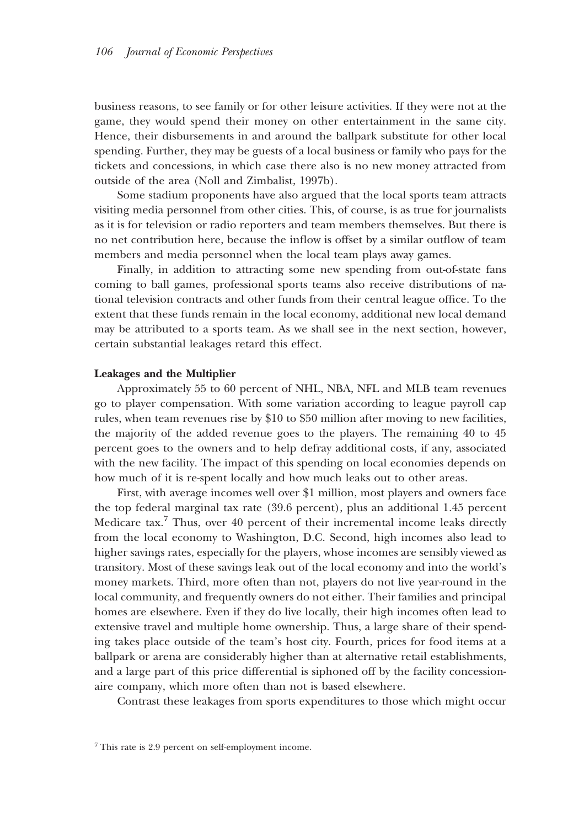business reasons, to see family or for other leisure activities. If they were not at the game, they would spend their money on other entertainment in the same city. Hence, their disbursements in and around the ballpark substitute for other local spending. Further, they may be guests of a local business or family who pays for the tickets and concessions, in which case there also is no new money attracted from outside of the area (Noll and Zimbalist, 1997b).

Some stadium proponents have also argued that the local sports team attracts visiting media personnel from other cities. This, of course, is as true for journalists as it is for television or radio reporters and team members themselves. But there is no net contribution here, because the inflow is offset by a similar outflow of team members and media personnel when the local team plays away games.

Finally, in addition to attracting some new spending from out-of-state fans coming to ball games, professional sports teams also receive distributions of national television contracts and other funds from their central league office. To the extent that these funds remain in the local economy, additional new local demand may be attributed to a sports team. As we shall see in the next section, however, certain substantial leakages retard this effect.

#### **Leakages and the Multiplier**

Approximately 55 to 60 percent of NHL, NBA, NFL and MLB team revenues go to player compensation. With some variation according to league payroll cap rules, when team revenues rise by \$10 to \$50 million after moving to new facilities, the majority of the added revenue goes to the players. The remaining 40 to 45 percent goes to the owners and to help defray additional costs, if any, associated with the new facility. The impact of this spending on local economies depends on how much of it is re-spent locally and how much leaks out to other areas.

First, with average incomes well over \$1 million, most players and owners face the top federal marginal tax rate (39.6 percent), plus an additional 1.45 percent Medicare tax.<sup>7</sup> Thus, over 40 percent of their incremental income leaks directly from the local economy to Washington, D.C. Second, high incomes also lead to higher savings rates, especially for the players, whose incomes are sensibly viewed as transitory. Most of these savings leak out of the local economy and into the world's money markets. Third, more often than not, players do not live year-round in the local community, and frequently owners do not either. Their families and principal homes are elsewhere. Even if they do live locally, their high incomes often lead to extensive travel and multiple home ownership. Thus, a large share of their spending takes place outside of the team's host city. Fourth, prices for food items at a ballpark or arena are considerably higher than at alternative retail establishments, and a large part of this price differential is siphoned off by the facility concessionaire company, which more often than not is based elsewhere.

Contrast these leakages from sports expenditures to those which might occur

<sup>7</sup> This rate is 2.9 percent on self-employment income.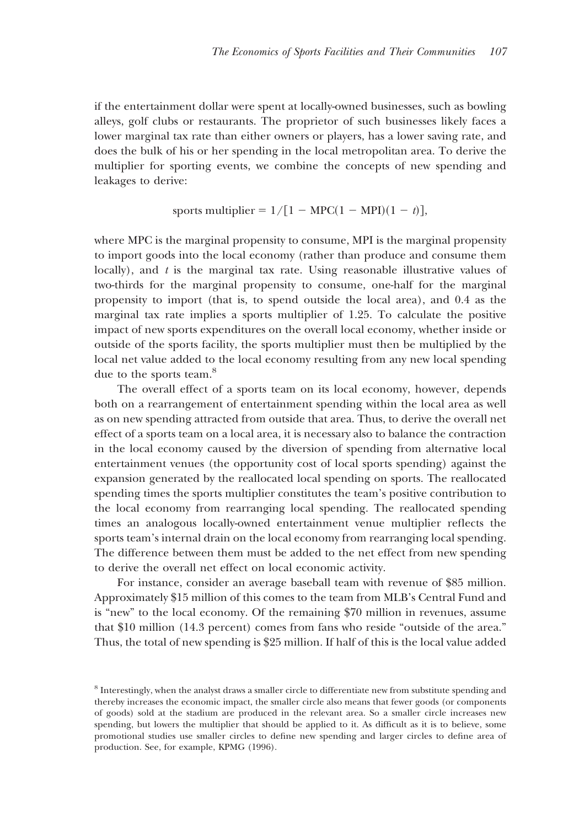if the entertainment dollar were spent at locally-owned businesses, such as bowling alleys, golf clubs or restaurants. The proprietor of such businesses likely faces a lower marginal tax rate than either owners or players, has a lower saving rate, and does the bulk of his or her spending in the local metropolitan area. To derive the multiplier for sporting events, we combine the concepts of new spending and leakages to derive:

$$
sports multiplier = 1/[1 - MPC(1 - MPI)(1 - t)],
$$

where MPC is the marginal propensity to consume, MPI is the marginal propensity to import goods into the local economy (rather than produce and consume them locally), and *t* is the marginal tax rate. Using reasonable illustrative values of two-thirds for the marginal propensity to consume, one-half for the marginal propensity to import (that is, to spend outside the local area), and 0.4 as the marginal tax rate implies a sports multiplier of 1.25. To calculate the positive impact of new sports expenditures on the overall local economy, whether inside or outside of the sports facility, the sports multiplier must then be multiplied by the local net value added to the local economy resulting from any new local spending due to the sports team.<sup>8</sup>

The overall effect of a sports team on its local economy, however, depends both on a rearrangement of entertainment spending within the local area as well as on new spending attracted from outside that area. Thus, to derive the overall net effect of a sports team on a local area, it is necessary also to balance the contraction in the local economy caused by the diversion of spending from alternative local entertainment venues (the opportunity cost of local sports spending) against the expansion generated by the reallocated local spending on sports. The reallocated spending times the sports multiplier constitutes the team's positive contribution to the local economy from rearranging local spending. The reallocated spending times an analogous locally-owned entertainment venue multiplier reflects the sports team's internal drain on the local economy from rearranging local spending. The difference between them must be added to the net effect from new spending to derive the overall net effect on local economic activity.

For instance, consider an average baseball team with revenue of \$85 million. Approximately \$15 million of this comes to the team from MLB's Central Fund and is "new" to the local economy. Of the remaining \$70 million in revenues, assume that \$10 million (14.3 percent) comes from fans who reside "outside of the area." Thus, the total of new spending is \$25 million. If half of this is the local value added

<sup>8</sup> Interestingly, when the analyst draws a smaller circle to differentiate new from substitute spending and thereby increases the economic impact, the smaller circle also means that fewer goods (or components of goods) sold at the stadium are produced in the relevant area. So a smaller circle increases new spending, but lowers the multiplier that should be applied to it. As difficult as it is to believe, some promotional studies use smaller circles to define new spending and larger circles to define area of production. See, for example, KPMG (1996).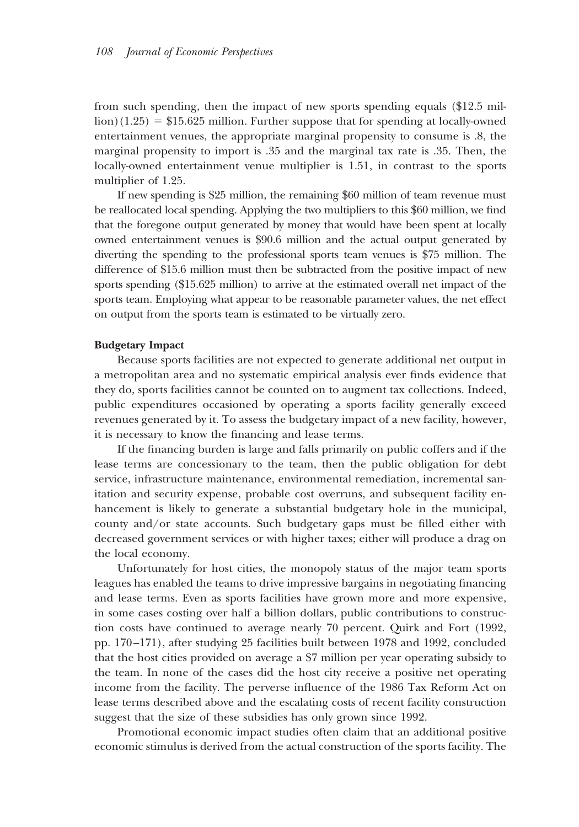from such spending, then the impact of new sports spending equals (\$12.5 mil $l$ lion)(1.25) = \$15.625 million. Further suppose that for spending at locally-owned entertainment venues, the appropriate marginal propensity to consume is .8, the marginal propensity to import is .35 and the marginal tax rate is .35. Then, the locally-owned entertainment venue multiplier is 1.51, in contrast to the sports multiplier of 1.25.

If new spending is \$25 million, the remaining \$60 million of team revenue must be reallocated local spending. Applying the two multipliers to this \$60 million, we find that the foregone output generated by money that would have been spent at locally owned entertainment venues is \$90.6 million and the actual output generated by diverting the spending to the professional sports team venues is \$75 million. The difference of \$15.6 million must then be subtracted from the positive impact of new sports spending (\$15.625 million) to arrive at the estimated overall net impact of the sports team. Employing what appear to be reasonable parameter values, the net effect on output from the sports team is estimated to be virtually zero.

#### **Budgetary Impact**

Because sports facilities are not expected to generate additional net output in a metropolitan area and no systematic empirical analysis ever finds evidence that they do, sports facilities cannot be counted on to augment tax collections. Indeed, public expenditures occasioned by operating a sports facility generally exceed revenues generated by it. To assess the budgetary impact of a new facility, however, it is necessary to know the financing and lease terms.

If the financing burden is large and falls primarily on public coffers and if the lease terms are concessionary to the team, then the public obligation for debt service, infrastructure maintenance, environmental remediation, incremental sanitation and security expense, probable cost overruns, and subsequent facility enhancement is likely to generate a substantial budgetary hole in the municipal, county and/or state accounts. Such budgetary gaps must be filled either with decreased government services or with higher taxes; either will produce a drag on the local economy.

Unfortunately for host cities, the monopoly status of the major team sports leagues has enabled the teams to drive impressive bargains in negotiating financing and lease terms. Even as sports facilities have grown more and more expensive, in some cases costing over half a billion dollars, public contributions to construction costs have continued to average nearly 70 percent. Quirk and Fort (1992, pp. 170–171), after studying 25 facilities built between 1978 and 1992, concluded that the host cities provided on average a \$7 million per year operating subsidy to the team. In none of the cases did the host city receive a positive net operating income from the facility. The perverse influence of the 1986 Tax Reform Act on lease terms described above and the escalating costs of recent facility construction suggest that the size of these subsidies has only grown since 1992.

Promotional economic impact studies often claim that an additional positive economic stimulus is derived from the actual construction of the sports facility. The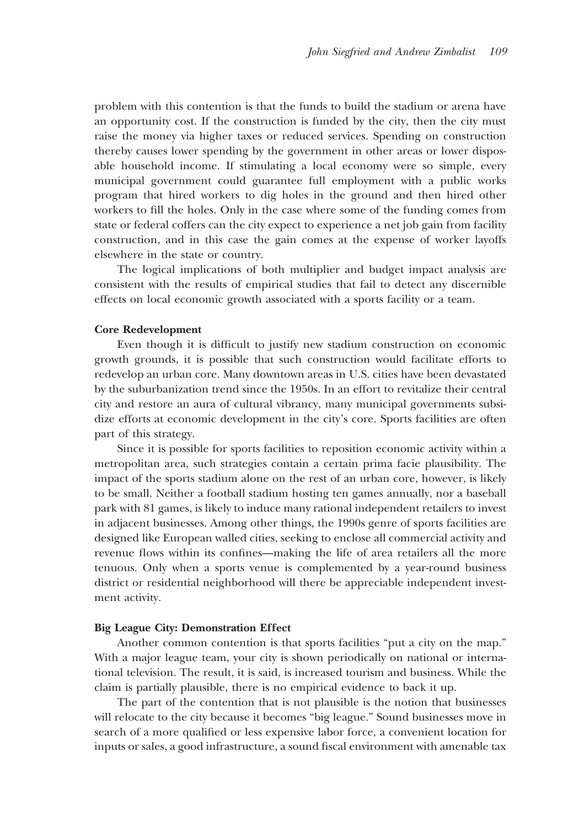problem with this contention is that the funds to build the stadium or arena have an opportunity cost. If the construction is funded by the city, then the city must raise the money via higher taxes or reduced services. Spending on construction thereby causes lower spending by the government in other areas or lower disposable household income. If stimulating a local economy were so simple, every municipal government could guarantee full employment with a public works program that hired workers to dig holes in the ground and then hired other workers to fill the holes. Only in the case where some of the funding comes from state or federal coffers can the city expect to experience a net job gain from facility construction, and in this case the gain comes at the expense of worker layoffs elsewhere in the state or country.

The logical implications of both multiplier and budget impact analysis are consistent with the results of empirical studies that fail to detect any discernible effects on local economic growth associated with a sports facility or a team.

#### **Core Redevelopment**

Even though it is difficult to justify new stadium construction on economic growth grounds, it is possible that such construction would facilitate efforts to redevelop an urban core. Many downtown areas in U.S. cities have been devastated by the suburbanization trend since the 1950s. In an effort to revitalize their central city and restore an aura of cultural vibrancy, many municipal governments subsidize efforts at economic development in the city's core. Sports facilities are often part of this strategy.

Since it is possible for sports facilities to reposition economic activity within a metropolitan area, such strategies contain a certain prima facie plausibility. The impact of the sports stadium alone on the rest of an urban core, however, is likely to be small. Neither a football stadium hosting ten games annually, nor a baseball park with 81 games, is likely to induce many rational independent retailers to invest in adjacent businesses. Among other things, the 1990s genre of sports facilities are designed like European walled cities, seeking to enclose all commercial activity and revenue flows within its confines—making the life of area retailers all the more tenuous. Only when a sports venue is complemented by a year-round business district or residential neighborhood will there be appreciable independent investment activity.

#### **Big League City: Demonstration Effect**

Another common contention is that sports facilities "put a city on the map." With a major league team, your city is shown periodically on national or international television. The result, it is said, is increased tourism and business. While the claim is partially plausible, there is no empirical evidence to back it up.

The part of the contention that is not plausible is the notion that businesses will relocate to the city because it becomes "big league." Sound businesses move in search of a more qualified or less expensive labor force, a convenient location for inputs or sales, a good infrastructure, a sound fiscal environment with amenable tax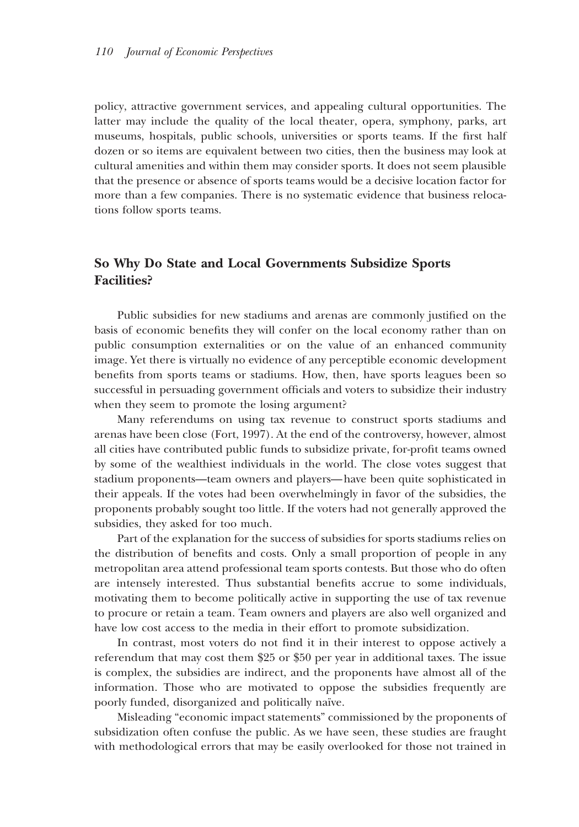policy, attractive government services, and appealing cultural opportunities. The latter may include the quality of the local theater, opera, symphony, parks, art museums, hospitals, public schools, universities or sports teams. If the first half dozen or so items are equivalent between two cities, then the business may look at cultural amenities and within them may consider sports. It does not seem plausible that the presence or absence of sports teams would be a decisive location factor for more than a few companies. There is no systematic evidence that business relocations follow sports teams.

# **So Why Do State and Local Governments Subsidize Sports Facilities?**

Public subsidies for new stadiums and arenas are commonly justified on the basis of economic benefits they will confer on the local economy rather than on public consumption externalities or on the value of an enhanced community image. Yet there is virtually no evidence of any perceptible economic development benefits from sports teams or stadiums. How, then, have sports leagues been so successful in persuading government officials and voters to subsidize their industry when they seem to promote the losing argument?

Many referendums on using tax revenue to construct sports stadiums and arenas have been close (Fort, 1997). At the end of the controversy, however, almost all cities have contributed public funds to subsidize private, for-profit teams owned by some of the wealthiest individuals in the world. The close votes suggest that stadium proponents—team owners and players—have been quite sophisticated in their appeals. If the votes had been overwhelmingly in favor of the subsidies, the proponents probably sought too little. If the voters had not generally approved the subsidies, they asked for too much.

Part of the explanation for the success of subsidies for sports stadiums relies on the distribution of benefits and costs. Only a small proportion of people in any metropolitan area attend professional team sports contests. But those who do often are intensely interested. Thus substantial benefits accrue to some individuals, motivating them to become politically active in supporting the use of tax revenue to procure or retain a team. Team owners and players are also well organized and have low cost access to the media in their effort to promote subsidization.

In contrast, most voters do not find it in their interest to oppose actively a referendum that may cost them \$25 or \$50 per year in additional taxes. The issue is complex, the subsidies are indirect, and the proponents have almost all of the information. Those who are motivated to oppose the subsidies frequently are poorly funded, disorganized and politically naïve.

Misleading "economic impact statements" commissioned by the proponents of subsidization often confuse the public. As we have seen, these studies are fraught with methodological errors that may be easily overlooked for those not trained in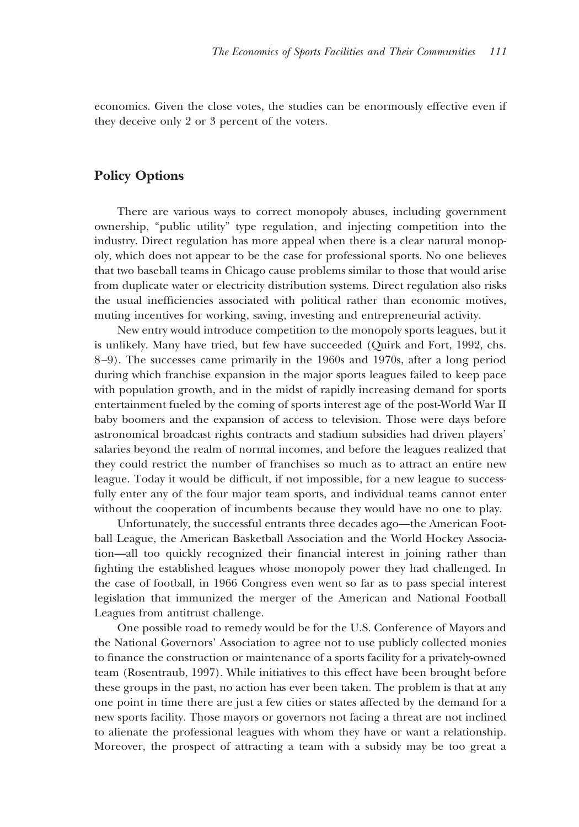economics. Given the close votes, the studies can be enormously effective even if they deceive only 2 or 3 percent of the voters.

## **Policy Options**

There are various ways to correct monopoly abuses, including government ownership, "public utility" type regulation, and injecting competition into the industry. Direct regulation has more appeal when there is a clear natural monopoly, which does not appear to be the case for professional sports. No one believes that two baseball teams in Chicago cause problems similar to those that would arise from duplicate water or electricity distribution systems. Direct regulation also risks the usual inefficiencies associated with political rather than economic motives, muting incentives for working, saving, investing and entrepreneurial activity.

New entry would introduce competition to the monopoly sports leagues, but it is unlikely. Many have tried, but few have succeeded (Quirk and Fort, 1992, chs. 8–9). The successes came primarily in the 1960s and 1970s, after a long period during which franchise expansion in the major sports leagues failed to keep pace with population growth, and in the midst of rapidly increasing demand for sports entertainment fueled by the coming of sports interest age of the post-World War II baby boomers and the expansion of access to television. Those were days before astronomical broadcast rights contracts and stadium subsidies had driven players' salaries beyond the realm of normal incomes, and before the leagues realized that they could restrict the number of franchises so much as to attract an entire new league. Today it would be difficult, if not impossible, for a new league to successfully enter any of the four major team sports, and individual teams cannot enter without the cooperation of incumbents because they would have no one to play.

Unfortunately, the successful entrants three decades ago—the American Football League, the American Basketball Association and the World Hockey Association—all too quickly recognized their financial interest in joining rather than fighting the established leagues whose monopoly power they had challenged. In the case of football, in 1966 Congress even went so far as to pass special interest legislation that immunized the merger of the American and National Football Leagues from antitrust challenge.

One possible road to remedy would be for the U.S. Conference of Mayors and the National Governors' Association to agree not to use publicly collected monies to finance the construction or maintenance of a sports facility for a privately-owned team (Rosentraub, 1997). While initiatives to this effect have been brought before these groups in the past, no action has ever been taken. The problem is that at any one point in time there are just a few cities or states affected by the demand for a new sports facility. Those mayors or governors not facing a threat are not inclined to alienate the professional leagues with whom they have or want a relationship. Moreover, the prospect of attracting a team with a subsidy may be too great a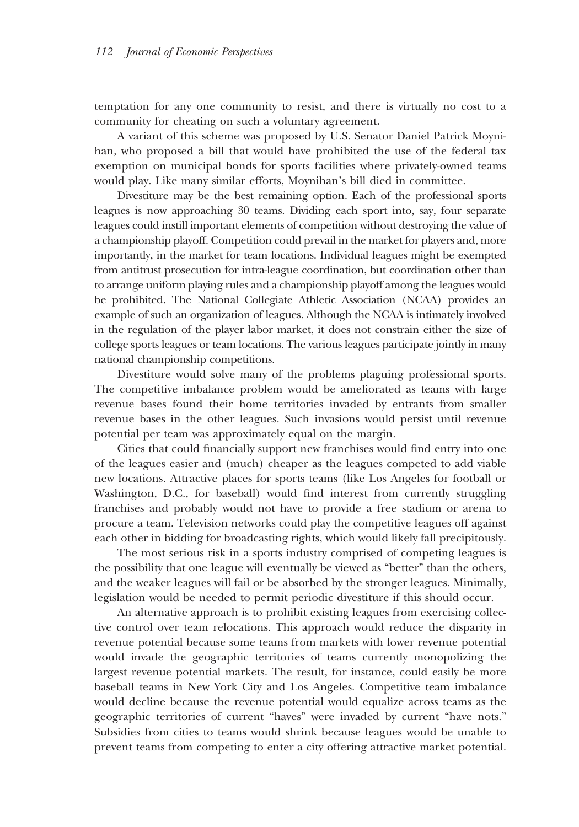temptation for any one community to resist, and there is virtually no cost to a community for cheating on such a voluntary agreement.

A variant of this scheme was proposed by U.S. Senator Daniel Patrick Moynihan, who proposed a bill that would have prohibited the use of the federal tax exemption on municipal bonds for sports facilities where privately-owned teams would play. Like many similar efforts, Moynihan's bill died in committee.

Divestiture may be the best remaining option. Each of the professional sports leagues is now approaching 30 teams. Dividing each sport into, say, four separate leagues could instill important elements of competition without destroying the value of a championship playoff. Competition could prevail in the market for players and, more importantly, in the market for team locations. Individual leagues might be exempted from antitrust prosecution for intra-league coordination, but coordination other than to arrange uniform playing rules and a championship playoff among the leagues would be prohibited. The National Collegiate Athletic Association (NCAA) provides an example of such an organization of leagues. Although the NCAA is intimately involved in the regulation of the player labor market, it does not constrain either the size of college sports leagues or team locations. The various leagues participate jointly in many national championship competitions.

Divestiture would solve many of the problems plaguing professional sports. The competitive imbalance problem would be ameliorated as teams with large revenue bases found their home territories invaded by entrants from smaller revenue bases in the other leagues. Such invasions would persist until revenue potential per team was approximately equal on the margin.

Cities that could financially support new franchises would find entry into one of the leagues easier and (much) cheaper as the leagues competed to add viable new locations. Attractive places for sports teams (like Los Angeles for football or Washington, D.C., for baseball) would find interest from currently struggling franchises and probably would not have to provide a free stadium or arena to procure a team. Television networks could play the competitive leagues off against each other in bidding for broadcasting rights, which would likely fall precipitously.

The most serious risk in a sports industry comprised of competing leagues is the possibility that one league will eventually be viewed as "better" than the others, and the weaker leagues will fail or be absorbed by the stronger leagues. Minimally, legislation would be needed to permit periodic divestiture if this should occur.

An alternative approach is to prohibit existing leagues from exercising collective control over team relocations. This approach would reduce the disparity in revenue potential because some teams from markets with lower revenue potential would invade the geographic territories of teams currently monopolizing the largest revenue potential markets. The result, for instance, could easily be more baseball teams in New York City and Los Angeles. Competitive team imbalance would decline because the revenue potential would equalize across teams as the geographic territories of current "haves" were invaded by current "have nots." Subsidies from cities to teams would shrink because leagues would be unable to prevent teams from competing to enter a city offering attractive market potential.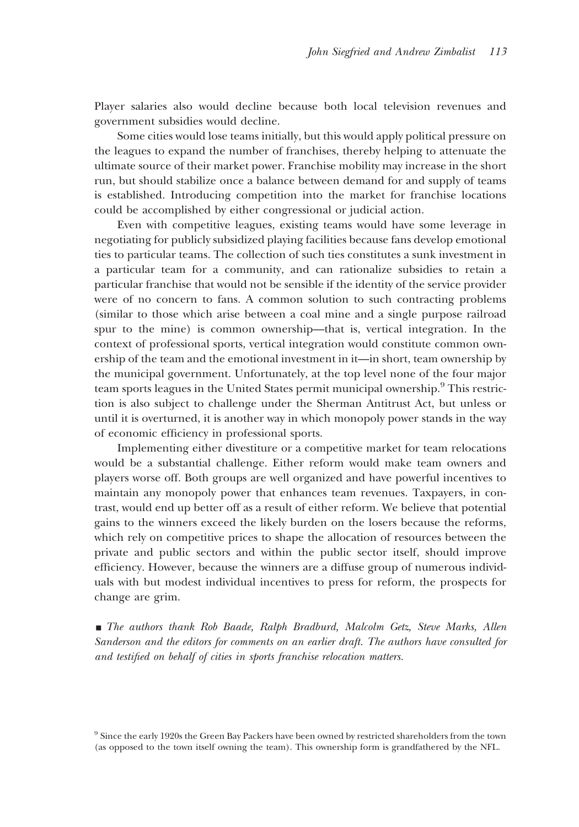Player salaries also would decline because both local television revenues and government subsidies would decline.

Some cities would lose teams initially, but this would apply political pressure on the leagues to expand the number of franchises, thereby helping to attenuate the ultimate source of their market power. Franchise mobility may increase in the short run, but should stabilize once a balance between demand for and supply of teams is established. Introducing competition into the market for franchise locations could be accomplished by either congressional or judicial action.

Even with competitive leagues, existing teams would have some leverage in negotiating for publicly subsidized playing facilities because fans develop emotional ties to particular teams. The collection of such ties constitutes a sunk investment in a particular team for a community, and can rationalize subsidies to retain a particular franchise that would not be sensible if the identity of the service provider were of no concern to fans. A common solution to such contracting problems (similar to those which arise between a coal mine and a single purpose railroad spur to the mine) is common ownership—that is, vertical integration. In the context of professional sports, vertical integration would constitute common ownership of the team and the emotional investment in it—in short, team ownership by the municipal government. Unfortunately, at the top level none of the four major team sports leagues in the United States permit municipal ownership.<sup>9</sup> This restriction is also subject to challenge under the Sherman Antitrust Act, but unless or until it is overturned, it is another way in which monopoly power stands in the way of economic efficiency in professional sports.

Implementing either divestiture or a competitive market for team relocations would be a substantial challenge. Either reform would make team owners and players worse off. Both groups are well organized and have powerful incentives to maintain any monopoly power that enhances team revenues. Taxpayers, in contrast, would end up better off as a result of either reform. We believe that potential gains to the winners exceed the likely burden on the losers because the reforms, which rely on competitive prices to shape the allocation of resources between the private and public sectors and within the public sector itself, should improve efficiency. However, because the winners are a diffuse group of numerous individuals with but modest individual incentives to press for reform, the prospects for change are grim.

y *The authors thank Rob Baade, Ralph Bradburd, Malcolm Getz, Steve Marks, Allen Sanderson and the editors for comments on an earlier draft. The authors have consulted for and testified on behalf of cities in sports franchise relocation matters.*

<sup>&</sup>lt;sup>9</sup> Since the early 1920s the Green Bay Packers have been owned by restricted shareholders from the town (as opposed to the town itself owning the team). This ownership form is grandfathered by the NFL.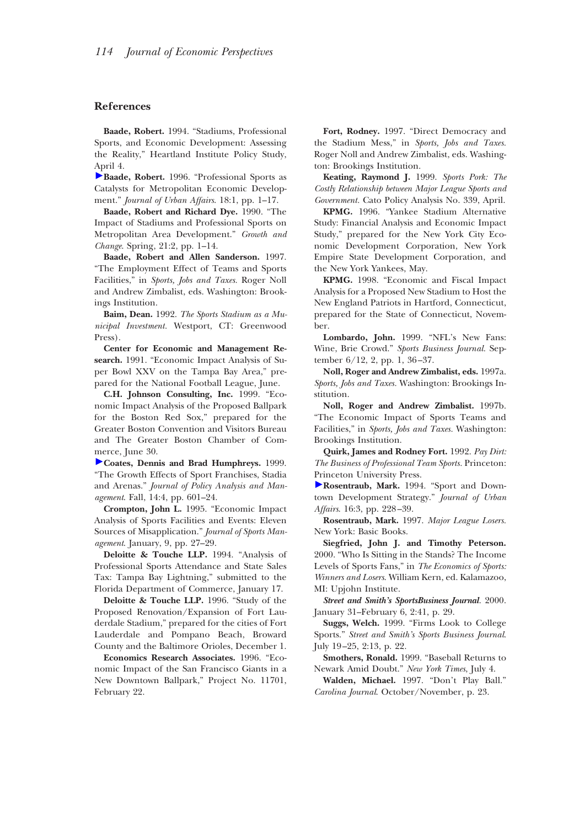#### **References**

**Baade, Robert.** 1994. "Stadiums, Professional Sports, and Economic Development: Assessing the Reality," Heartland Institute Policy Study, [Ap](http://pubs.aeaweb.org/action/showLinks?crossref=10.1111%2Fj.1467-9906.1996.tb00361.x&citationId=p_2)ril 4.

**Baade, Robert.** 1996. "Professional Sports as Catalysts for Metropolitan Economic Development." *Journal of Urban Affairs*. 18:1, pp. 1–17.

**Baade, Robert and Richard Dye.** 1990. "The Impact of Stadiums and Professional Sports on Metropolitan Area Development." *Growth and Change*. Spring, 21:2, pp. 1–14.

**Baade, Robert and Allen Sanderson.** 1997. "The Employment Effect of Teams and Sports Facilities," in *Sports, Jobs and Taxes.* Roger Noll and Andrew Zimbalist, eds. Washington: Brookings Institution.

**Baim, Dean.** 1992. *The Sports Stadium as a Municipal Investment.* Westport, CT: Greenwood Press).

**Center for Economic and Management Research.** 1991. "Economic Impact Analysis of Super Bowl XXV on the Tampa Bay Area," prepared for the National Football League, June.

**C.H. Johnson Consulting, Inc.** 1999. "Economic Impact Analysis of the Proposed Ballpark for the Boston Red Sox," prepared for the Greater Boston Convention and Visitors Bureau and The Greater Boston Chamber of Com[me](http://pubs.aeaweb.org/action/showLinks?crossref=10.1002%2F%28SICI%291520-6688%28199923%2918%3A4%3C601%3A%3AAID-PAM4%3E3.0.CO%3B2-A&citationId=p_8)rce, June 30.

**Coates, Dennis and Brad Humphreys.** 1999. "The Growth Effects of Sport Franchises, Stadia and Arenas." *Journal of Policy Analysis and Management*. Fall, 14:4, pp. 601–24.

**Crompton, John L.** 1995. "Economic Impact Analysis of Sports Facilities and Events: Eleven Sources of Misapplication." *Journal of Sports Management*. January, 9, pp. 27–29.

**Deloitte & Touche LLP.** 1994. "Analysis of Professional Sports Attendance and State Sales Tax: Tampa Bay Lightning," submitted to the Florida Department of Commerce, January 17.

**Deloitte & Touche LLP.** 1996. "Study of the Proposed Renovation/Expansion of Fort Lauderdale Stadium," prepared for the cities of Fort Lauderdale and Pompano Beach, Broward County and the Baltimore Orioles, December 1.

**Economics Research Associates.** 1996. "Economic Impact of the San Francisco Giants in a New Downtown Ballpark," Project No. 11701, February 22.

**Fort, Rodney.** 1997. "Direct Democracy and the Stadium Mess," in *Sports, Jobs and Taxes.* Roger Noll and Andrew Zimbalist, eds. Washington: Brookings Institution.

**Keating, Raymond J.** 1999. *Sports Pork: The Costly Relationship between Major League Sports and Government.* Cato Policy Analysis No. 339, April.

**KPMG.** 1996. "Yankee Stadium Alternative Study: Financial Analysis and Economic Impact Study," prepared for the New York City Economic Development Corporation, New York Empire State Development Corporation, and the New York Yankees, May.

**KPMG.** 1998. "Economic and Fiscal Impact Analysis for a Proposed New Stadium to Host the New England Patriots in Hartford, Connecticut, prepared for the State of Connecticut, November.

**Lombardo, John.** 1999. "NFL's New Fans: Wine, Brie Crowd." *Sports Business Journal.* September 6/12, 2, pp. 1, 36–37.

**Noll, Roger and Andrew Zimbalist, eds.** 1997a. *Sports, Jobs and Taxes.* Washington: Brookings Institution.

**Noll, Roger and Andrew Zimbalist.** 1997b. "The Economic Impact of Sports Teams and Facilities," in *Sports, Jobs and Taxes.* Washington: Brookings Institution.

**Quirk, James and Rodney Fort.** 1992. *Pay Dirt: The Business of Professional Team Sports.* Princeton: [Pr](http://pubs.aeaweb.org/action/showLinks?crossref=10.1111%2Fj.1467-9906.1994.tb00327.x&citationId=p_21)inceton University Press.

**Rosentraub, Mark.** 1994. "Sport and Downtown Development Strategy." *Journal of Urban Affairs*. 16:3, pp. 228–39.

**Rosentraub, Mark.** 1997. *Major League Losers.* New York: Basic Books.

**Siegfried, John J. and Timothy Peterson.** 2000. "Who Is Sitting in the Stands? The Income Levels of Sports Fans," in *The Economics of Sports: Winners and Losers*. William Kern, ed. Kalamazoo, MI: Upjohn Institute.

*Street and Smith's SportsBusiness Journal*. 2000. January 31–February 6, 2:41, p. 29.

**Suggs, Welch.** 1999. "Firms Look to College Sports." *Street and Smith's Sports Business Journal*. July 19–25, 2:13, p. 22.

**Smothers, Ronald.** 1999. "Baseball Returns to Newark Amid Doubt." *New York Times*, July 4.

**Walden, Michael.** 1997. "Don't Play Ball." *Carolina Journal*. October/November, p. 23.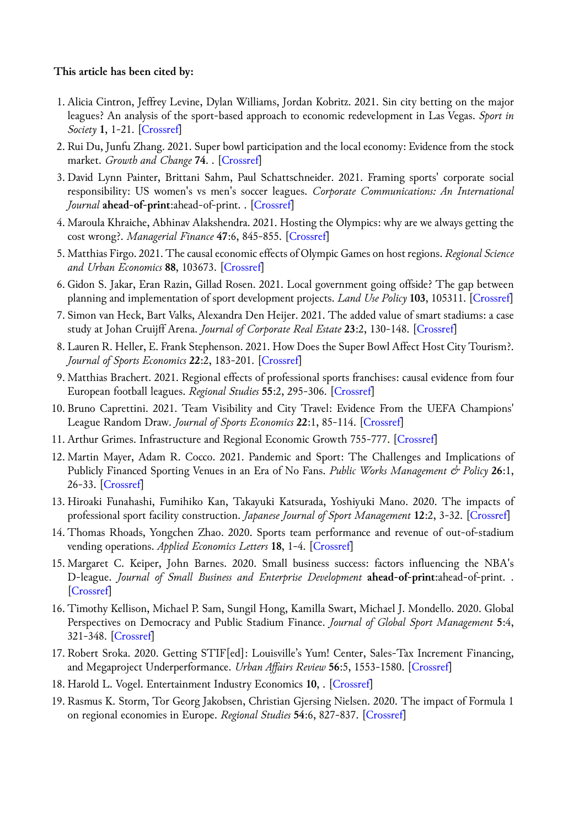#### **This article has been cited by:**

- 1. Alicia Cintron, Jeffrey Levine, Dylan Williams, Jordan Kobritz. 2021. Sin city betting on the major leagues? An analysis of the sport-based approach to economic redevelopment in Las Vegas. *Sport in Society* **1**, 1-21. [\[Crossref](https://doi.org/10.1080/17430437.2021.1950142)]
- 2. Rui Du, Junfu Zhang. 2021. Super bowl participation and the local economy: Evidence from the stock market. *Growth and Change* **74**. . [[Crossref\]](https://doi.org/10.1111/grow.12511)
- 3.David Lynn Painter, Brittani Sahm, Paul Schattschneider. 2021. Framing sports' corporate social responsibility: US women's vs men's soccer leagues. *Corporate Communications: An International Journal* **ahead-of-print**:ahead-of-print. . [\[Crossref](https://doi.org/10.1108/CCIJ-03-2021-0035)]
- 4. Maroula Khraiche, Abhinav Alakshendra. 2021. Hosting the Olympics: why are we always getting the cost wrong?. *Managerial Finance* **47**:6, 845-855. [[Crossref\]](https://doi.org/10.1108/MF-05-2020-0231)
- 5. Matthias Firgo. 2021. The causal economic effects of Olympic Games on host regions. *Regional Science and Urban Economics* **88**, 103673. [[Crossref](https://doi.org/10.1016/j.regsciurbeco.2021.103673)]
- 6. Gidon S. Jakar, Eran Razin, Gillad Rosen. 2021. Local government going offside? The gap between planning and implementation of sport development projects. *Land Use Policy* **103**, 105311. [[Crossref\]](https://doi.org/10.1016/j.landusepol.2021.105311)
- 7. Simon van Heck, Bart Valks, Alexandra Den Heijer. 2021. The added value of smart stadiums: a case study at Johan Cruijff Arena. *Journal of Corporate Real Estate* **23**:2, 130-148. [[Crossref\]](https://doi.org/10.1108/JCRE-09-2020-0033)
- 8. Lauren R. Heller, E. Frank Stephenson. 2021. How Does the Super Bowl Affect Host City Tourism?. *Journal of Sports Economics* **22**:2, 183-201. [[Crossref\]](https://doi.org/10.1177/1527002520959393)
- 9. Matthias Brachert. 2021. Regional effects of professional sports franchises: causal evidence from four European football leagues. *Regional Studies* **55**:2, 295-306. [[Crossref\]](https://doi.org/10.1080/00343404.2020.1759794)
- 10. Bruno Caprettini. 2021. Team Visibility and City Travel: Evidence From the UEFA Champions' League Random Draw. *Journal of Sports Economics* **22**:1, 85-114. [\[Crossref](https://doi.org/10.1177/1527002520955208)]
- 11. Arthur Grimes. Infrastructure and Regional Economic Growth 755-777. [[Crossref\]](https://doi.org/10.1007/978-3-662-60723-7_19)
- 12. Martin Mayer, Adam R. Cocco. 2021. Pandemic and Sport: The Challenges and Implications of Publicly Financed Sporting Venues in an Era of No Fans. *Public Works Management & Policy* **26**:1, 26-33. [\[Crossref](https://doi.org/10.1177/1087724X20969161)]
- 13. Hiroaki Funahashi, Fumihiko Kan, Takayuki Katsurada, Yoshiyuki Mano. 2020. The impacts of professional sport facility construction. *Japanese Journal of Sport Management* **12**:2, 3-32. [\[Crossref](https://doi.org/10.5225/jjsm.2020-008)]
- 14. Thomas Rhoads, Yongchen Zhao. 2020. Sports team performance and revenue of out-of-stadium vending operations. *Applied Economics Letters* **18**, 1-4. [[Crossref\]](https://doi.org/10.1080/13504851.2020.1854661)
- 15. Margaret C. Keiper, John Barnes. 2020. Small business success: factors influencing the NBA's D-league. *Journal of Small Business and Enterprise Development* **ahead-of-print**:ahead-of-print. . [\[Crossref](https://doi.org/10.1108/JSBED-12-2018-0375)]
- 16. Timothy Kellison, Michael P. Sam, Sungil Hong, Kamilla Swart, Michael J. Mondello. 2020. Global Perspectives on Democracy and Public Stadium Finance. *Journal of Global Sport Management* **5**:4, 321-348. [\[Crossref\]](https://doi.org/10.1080/24704067.2018.1531680)
- 17. Robert Sroka. 2020. Getting STIF[ed]: Louisville's Yum! Center, Sales-Tax Increment Financing, and Megaproject Underperformance. *Urban Affairs Review* **56**:5, 1553-1580. [\[Crossref](https://doi.org/10.1177/1078087419830527)]
- 18. Harold L. Vogel. Entertainment Industry Economics **10**, . [[Crossref\]](https://doi.org/10.1017/9781108675499)
- 19. Rasmus K. Storm, Tor Georg Jakobsen, Christian Gjersing Nielsen. 2020. The impact of Formula 1 on regional economies in Europe. *Regional Studies* **54**:6, 827-837. [[Crossref\]](https://doi.org/10.1080/00343404.2019.1648787)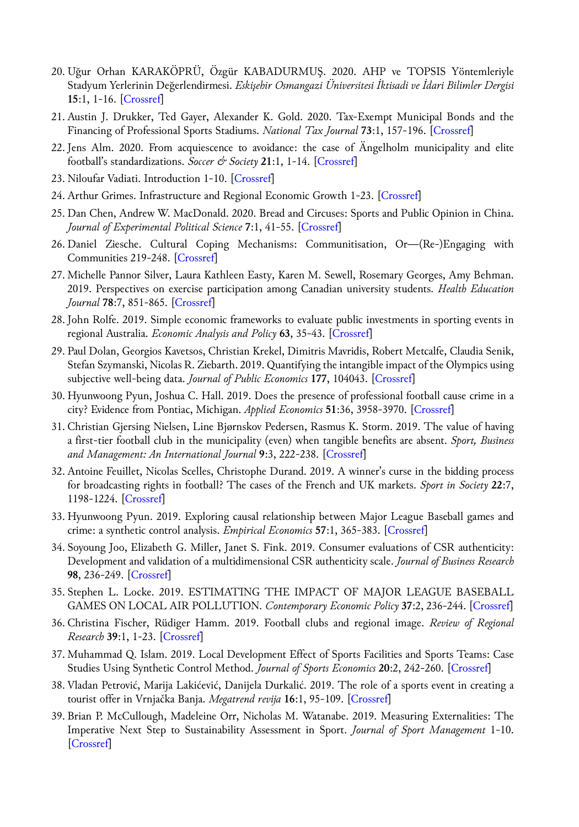- 20. Uğur Orhan KARAKÖPRÜ, Özgür KABADURMUŞ. 2020. AHP ve TOPSIS Yöntemleriyle Stadyum Yerlerinin Değerlendirmesi. *Eskişehir Osmangazi Üniversitesi İktisadi ve İdari Bilimler Dergisi* **15**:1, 1-16. [[Crossref\]](https://doi.org/10.17153/oguiibf.484468)
- 21. Austin J. Drukker, Ted Gayer, Alexander K. Gold. 2020. Tax-Exempt Municipal Bonds and the Financing of Professional Sports Stadiums. *National Tax Journal* **73**:1, 157-196. [\[Crossref](https://doi.org/10.17310/ntj.2020.1.05)]
- 22. Jens Alm. 2020. From acquiescence to avoidance: the case of Ängelholm municipality and elite football's standardizations. *Soccer & Society* **21**:1, 1-14. [\[Crossref](https://doi.org/10.1080/14660970.2018.1448795)]
- 23. Niloufar Vadiati. Introduction 1-10. [[Crossref\]](https://doi.org/10.1007/978-981-15-0598-0_1)
- 24. Arthur Grimes. Infrastructure and Regional Economic Growth 1-23. [[Crossref\]](https://doi.org/10.1007/978-3-642-36203-3_19-1)
- 25.Dan Chen, Andrew W. MacDonald. 2020. Bread and Circuses: Sports and Public Opinion in China. *Journal of Experimental Political Science* **7**:1, 41-55. [\[Crossref](https://doi.org/10.1017/XPS.2019.15)]
- 26.Daniel Ziesche. Cultural Coping Mechanisms: Communitisation, Or—(Re-)Engaging with Communities 219-248. [\[Crossref\]](https://doi.org/10.1007/978-3-030-53747-0_8)
- 27. Michelle Pannor Silver, Laura Kathleen Easty, Karen M. Sewell, Rosemary Georges, Amy Behman. 2019. Perspectives on exercise participation among Canadian university students. *Health Education Journal* **78**:7, 851-865. [\[Crossref](https://doi.org/10.1177/0017896919850206)]
- 28. John Rolfe. 2019. Simple economic frameworks to evaluate public investments in sporting events in regional Australia. *Economic Analysis and Policy* **63**, 35-43. [\[Crossref](https://doi.org/10.1016/j.eap.2019.04.010)]
- 29. Paul Dolan, Georgios Kavetsos, Christian Krekel, Dimitris Mavridis, Robert Metcalfe, Claudia Senik, Stefan Szymanski, Nicolas R. Ziebarth. 2019. Quantifying the intangible impact of the Olympics using subjective well-being data. *Journal of Public Economics* **177**, 104043. [\[Crossref\]](https://doi.org/10.1016/j.jpubeco.2019.07.002)
- 30. Hyunwoong Pyun, Joshua C. Hall. 2019. Does the presence of professional football cause crime in a city? Evidence from Pontiac, Michigan. *Applied Economics* **51**:36, 3958-3970. [\[Crossref](https://doi.org/10.1080/00036846.2019.1588942)]
- 31. Christian Gjersing Nielsen, Line Bjørnskov Pedersen, Rasmus K. Storm. 2019. The value of having a first-tier football club in the municipality (even) when tangible benefits are absent. *Sport, Business and Management: An International Journal* **9**:3, 222-238. [[Crossref\]](https://doi.org/10.1108/SBM-08-2018-0055)
- 32. Antoine Feuillet, Nicolas Scelles, Christophe Durand. 2019. A winner's curse in the bidding process for broadcasting rights in football? The cases of the French and UK markets. *Sport in Society* **22**:7, 1198-1224. [[Crossref\]](https://doi.org/10.1080/17430437.2018.1505869)
- 33. Hyunwoong Pyun. 2019. Exploring causal relationship between Major League Baseball games and crime: a synthetic control analysis. *Empirical Economics* **57**:1, 365-383. [\[Crossref](https://doi.org/10.1007/s00181-018-1440-9)]
- 34. Soyoung Joo, Elizabeth G. Miller, Janet S. Fink. 2019. Consumer evaluations of CSR authenticity: Development and validation of a multidimensional CSR authenticity scale. *Journal of Business Research* **98**, 236-249. [\[Crossref](https://doi.org/10.1016/j.jbusres.2019.01.060)]
- 35. Stephen L. Locke. 2019. ESTIMATING THE IMPACT OF MAJOR LEAGUE BASEBALL GAMES ON LOCAL AIR POLLUTION. *Contemporary Economic Policy* **37**:2, 236-244. [[Crossref\]](https://doi.org/10.1111/coep.12404)
- 36. Christina Fischer, Rüdiger Hamm. 2019. Football clubs and regional image. *Review of Regional Research* **39**:1, 1-23. [\[Crossref](https://doi.org/10.1007/s10037-018-00129-5)]
- 37. Muhammad Q. Islam. 2019. Local Development Effect of Sports Facilities and Sports Teams: Case Studies Using Synthetic Control Method. *Journal of Sports Economics* **20**:2, 242-260. [[Crossref\]](https://doi.org/10.1177/1527002517731874)
- 38. Vladan Petrović, Marija Lakićević, Danijela Durkalić. 2019. The role of a sports event in creating a tourist offer in Vrnjačka Banja. *Megatrend revija* **16**:1, 95-109. [[Crossref\]](https://doi.org/10.5937/MegRev1901095P)
- 39. Brian P. McCullough, Madeleine Orr, Nicholas M. Watanabe. 2019. Measuring Externalities: The Imperative Next Step to Sustainability Assessment in Sport. *Journal of Sport Management* 1-10. [\[Crossref](https://doi.org/10.1123/jsm.2019-0254)]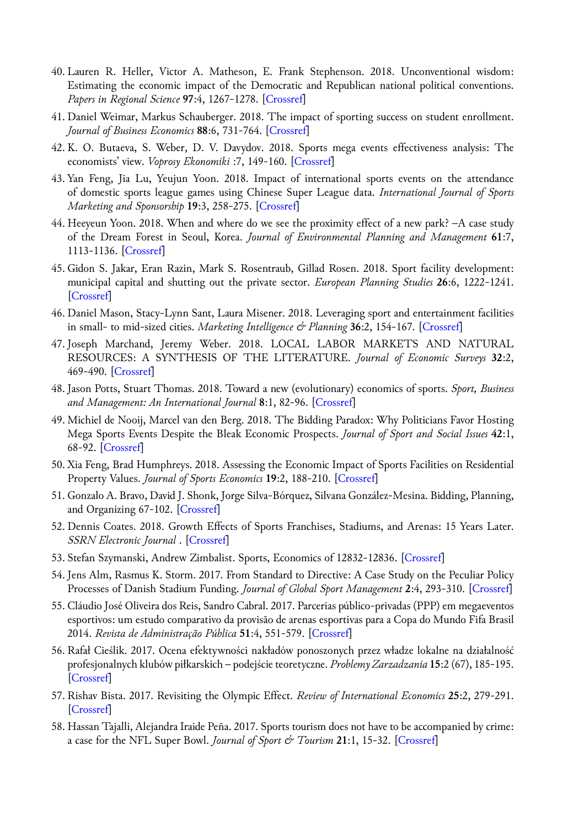- 40. Lauren R. Heller, Victor A. Matheson, E. Frank Stephenson. 2018. Unconventional wisdom: Estimating the economic impact of the Democratic and Republican national political conventions. *Papers in Regional Science* **97**:4, 1267-1278. [\[Crossref](https://doi.org/10.1111/pirs.12311)]
- 41.Daniel Weimar, Markus Schauberger. 2018. The impact of sporting success on student enrollment. *Journal of Business Economics* **88**:6, 731-764. [\[Crossref](https://doi.org/10.1007/s11573-017-0877-1)]
- 42. K. O. Butaeva, S. Weber, D. V. Davydov. 2018. Sports mega events effectiveness analysis: The economists' view. *Voprosy Ekonomiki* :7, 149-160. [\[Crossref](https://doi.org/10.32609/0042-8736-2018-7-149-160)]
- 43. Yan Feng, Jia Lu, Yeujun Yoon. 2018. Impact of international sports events on the attendance of domestic sports league games using Chinese Super League data. *International Journal of Sports Marketing and Sponsorship* **19**:3, 258-275. [[Crossref\]](https://doi.org/10.1108/IJSMS-06-2016-0036)
- 44. Heeyeun Yoon. 2018. When and where do we see the proximity effect of a new park? –A case study of the Dream Forest in Seoul, Korea. *Journal of Environmental Planning and Management* **61**:7, 1113-1136. [[Crossref\]](https://doi.org/10.1080/09640568.2017.1334634)
- 45. Gidon S. Jakar, Eran Razin, Mark S. Rosentraub, Gillad Rosen. 2018. Sport facility development: municipal capital and shutting out the private sector. *European Planning Studies* **26**:6, 1222-1241. [\[Crossref](https://doi.org/10.1080/09654313.2018.1451826)]
- 46.Daniel Mason, Stacy-Lynn Sant, Laura Misener. 2018. Leveraging sport and entertainment facilities in small- to mid-sized cities. *Marketing Intelligence & Planning* **36**:2, 154-167. [[Crossref\]](https://doi.org/10.1108/MIP-04-2017-0065)
- 47. Joseph Marchand, Jeremy Weber. 2018. LOCAL LABOR MARKETS AND NATURAL RESOURCES: A SYNTHESIS OF THE LITERATURE. *Journal of Economic Surveys* **32**:2, 469-490. [\[Crossref\]](https://doi.org/10.1111/joes.12199)
- 48. Jason Potts, Stuart Thomas. 2018. Toward a new (evolutionary) economics of sports. *Sport, Business and Management: An International Journal* **8**:1, 82-96. [[Crossref\]](https://doi.org/10.1108/SBM-04-2017-0023)
- 49. Michiel de Nooij, Marcel van den Berg. 2018. The Bidding Paradox: Why Politicians Favor Hosting Mega Sports Events Despite the Bleak Economic Prospects. *Journal of Sport and Social Issues* **42**:1, 68-92. [\[Crossref](https://doi.org/10.1177/0193723517748552)]
- 50. Xia Feng, Brad Humphreys. 2018. Assessing the Economic Impact of Sports Facilities on Residential Property Values. *Journal of Sports Economics* **19**:2, 188-210. [\[Crossref](https://doi.org/10.1177/1527002515622318)]
- 51. Gonzalo A. Bravo, David J. Shonk, Jorge Silva-Bórquez, Silvana González-Mesina. Bidding, Planning, and Organizing 67-102. [[Crossref\]](https://doi.org/10.1057/978-1-137-56888-5_5)
- 52.Dennis Coates. 2018. Growth Effects of Sports Franchises, Stadiums, and Arenas: 15 Years Later. *SSRN Electronic Journal* . [[Crossref\]](https://doi.org/10.2139/ssrn.3191302)
- 53. Stefan Szymanski, Andrew Zimbalist. Sports, Economics of 12832-12836. [\[Crossref](https://doi.org/10.1057/978-1-349-95189-5_2323)]
- 54. Jens Alm, Rasmus K. Storm. 2017. From Standard to Directive: A Case Study on the Peculiar Policy Processes of Danish Stadium Funding. *Journal of Global Sport Management* **2**:4, 293-310. [\[Crossref](https://doi.org/10.1080/24704067.2017.1381569)]
- 55. Cláudio José Oliveira dos Reis, Sandro Cabral. 2017. Parcerias público-privadas (PPP) em megaeventos esportivos: um estudo comparativo da provisão de arenas esportivas para a Copa do Mundo Fifa Brasil 2014. *Revista de Administração Pública* **51**:4, 551-579. [[Crossref\]](https://doi.org/10.1590/0034-7612158071)
- 56. Rafał Cieślik. 2017. Ocena efektywności nakładów ponoszonych przez władze lokalne na działalność profesjonalnych klubów piłkarskich – podejście teoretyczne. *Problemy Zarzadzania* **15**:2 (67), 185-195. [\[Crossref](https://doi.org/10.7172/1644-9584.67.11)]
- 57. Rishav Bista. 2017. Revisiting the Olympic Effect. *Review of International Economics* **25**:2, 279-291. [\[Crossref](https://doi.org/10.1111/roie.12266)]
- 58. Hassan Tajalli, Alejandra Iraide Peña. 2017. Sports tourism does not have to be accompanied by crime: a case for the NFL Super Bowl. *Journal of Sport & Tourism* **21**:1, 15-32. [[Crossref\]](https://doi.org/10.1080/14775085.2016.1273127)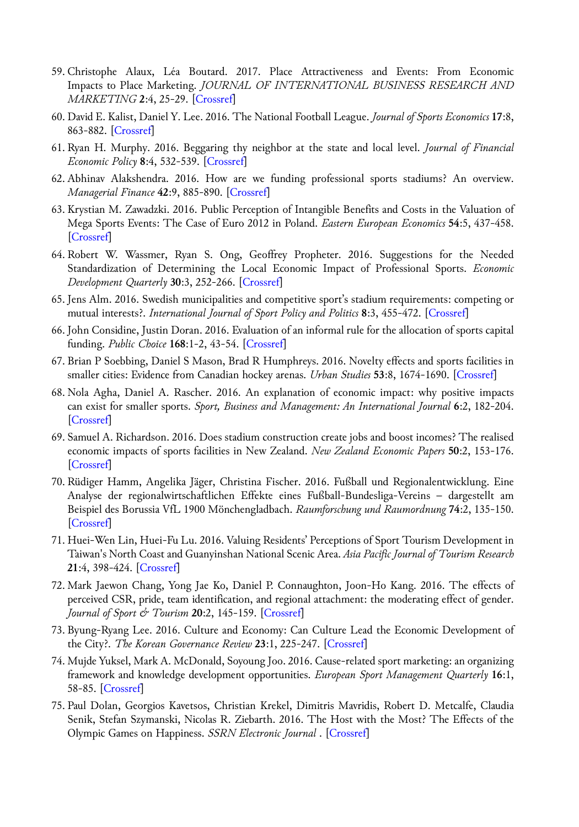- 59. Christophe Alaux, Léa Boutard. 2017. Place Attractiveness and Events: From Economic Impacts to Place Marketing. *JOURNAL OF INTERNATIONAL BUSINESS RESEARCH AND MARKETING* **2**:4, 25-29. [\[Crossref](https://doi.org/10.18775/jibrm.1849-8558.2015.24.3004)]
- 60.David E. Kalist, Daniel Y. Lee. 2016. The National Football League. *Journal of Sports Economics* **17**:8, 863-882. [\[Crossref\]](https://doi.org/10.1177/1527002514554953)
- 61. Ryan H. Murphy. 2016. Beggaring thy neighbor at the state and local level. *Journal of Financial Economic Policy* **8**:4, 532-539. [\[Crossref](https://doi.org/10.1108/JFEP-07-2016-0045)]
- 62. Abhinav Alakshendra. 2016. How are we funding professional sports stadiums? An overview. *Managerial Finance* **42**:9, 885-890. [\[Crossref](https://doi.org/10.1108/MF-03-2016-0076)]
- 63. Krystian M. Zawadzki. 2016. Public Perception of Intangible Benefits and Costs in the Valuation of Mega Sports Events: The Case of Euro 2012 in Poland. *Eastern European Economics* **54**:5, 437-458. [\[Crossref](https://doi.org/10.1080/00128775.2016.1201689)]
- 64. Robert W. Wassmer, Ryan S. Ong, Geoffrey Propheter. 2016. Suggestions for the Needed Standardization of Determining the Local Economic Impact of Professional Sports. *Economic Development Quarterly* **30**:3, 252-266. [\[Crossref](https://doi.org/10.1177/0891242416636685)]
- 65. Jens Alm. 2016. Swedish municipalities and competitive sport's stadium requirements: competing or mutual interests?. *International Journal of Sport Policy and Politics* **8**:3, 455-472. [[Crossref](https://doi.org/10.1080/19406940.2016.1189446)]
- 66. John Considine, Justin Doran. 2016. Evaluation of an informal rule for the allocation of sports capital funding. *Public Choice* **168**:1-2, 43-54. [\[Crossref](https://doi.org/10.1007/s11127-016-0348-1)]
- 67. Brian P Soebbing, Daniel S Mason, Brad R Humphreys. 2016. Novelty effects and sports facilities in smaller cities: Evidence from Canadian hockey arenas. *Urban Studies* **53**:8, 1674-1690. [[Crossref\]](https://doi.org/10.1177/0042098015576862)
- 68. Nola Agha, Daniel A. Rascher. 2016. An explanation of economic impact: why positive impacts can exist for smaller sports. *Sport, Business and Management: An International Journal* **6**:2, 182-204. [\[Crossref](https://doi.org/10.1108/SBM-07-2013-0020)]
- 69. Samuel A. Richardson. 2016. Does stadium construction create jobs and boost incomes? The realised economic impacts of sports facilities in New Zealand. *New Zealand Economic Papers* **50**:2, 153-176. [\[Crossref](https://doi.org/10.1080/00779954.2015.1043932)]
- 70. Rüdiger Hamm, Angelika Jäger, Christina Fischer. 2016. Fußball und Regionalentwicklung. Eine Analyse der regionalwirtschaftlichen Effekte eines Fußball-Bundesliga-Vereins – dargestellt am Beispiel des Borussia VfL 1900 Mönchengladbach. *Raumforschung und Raumordnung* **74**:2, 135-150. [\[Crossref](https://doi.org/10.1007/s13147-016-0389-4)]
- 71. Huei-Wen Lin, Huei-Fu Lu. 2016. Valuing Residents' Perceptions of Sport Tourism Development in Taiwan's North Coast and Guanyinshan National Scenic Area. *Asia Pacific Journal of Tourism Research* **21**:4, 398-424. [[Crossref\]](https://doi.org/10.1080/10941665.2015.1050424)
- 72. Mark Jaewon Chang, Yong Jae Ko, Daniel P. Connaughton, Joon-Ho Kang. 2016. The effects of perceived CSR, pride, team identification, and regional attachment: the moderating effect of gender. *Journal of Sport & Tourism* **20**:2, 145-159. [[Crossref\]](https://doi.org/10.1080/14775085.2016.1193822)
- 73. Byung-Ryang Lee. 2016. Culture and Economy: Can Culture Lead the Economic Development of the City?. *The Korean Governance Review* **23**:1, 225-247. [[Crossref\]](https://doi.org/10.17089/kgr.2016.23.1.010)
- 74. Mujde Yuksel, Mark A. McDonald, Soyoung Joo. 2016. Cause-related sport marketing: an organizing framework and knowledge development opportunities. *European Sport Management Quarterly* **16**:1, 58-85. [\[Crossref](https://doi.org/10.1080/16184742.2015.1119172)]
- 75. Paul Dolan, Georgios Kavetsos, Christian Krekel, Dimitris Mavridis, Robert D. Metcalfe, Claudia Senik, Stefan Szymanski, Nicolas R. Ziebarth. 2016. The Host with the Most? The Effects of the Olympic Games on Happiness. *SSRN Electronic Journal* . [[Crossref\]](https://doi.org/10.2139/ssrn.2818834)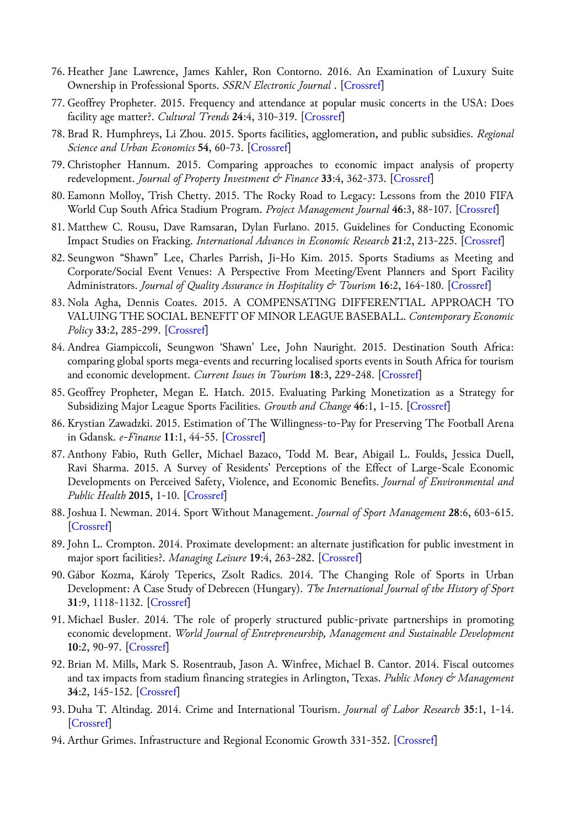- 76. Heather Jane Lawrence, James Kahler, Ron Contorno. 2016. An Examination of Luxury Suite Ownership in Professional Sports. *SSRN Electronic Journal* . [\[Crossref](https://doi.org/10.2139/ssrn.2858343)]
- 77. Geoffrey Propheter. 2015. Frequency and attendance at popular music concerts in the USA: Does facility age matter?. *Cultural Trends* **24**:4, 310-319. [\[Crossref](https://doi.org/10.1080/09548963.2015.1088122)]
- 78. Brad R. Humphreys, Li Zhou. 2015. Sports facilities, agglomeration, and public subsidies. *Regional Science and Urban Economics* **54**, 60-73. [\[Crossref](https://doi.org/10.1016/j.regsciurbeco.2015.07.004)]
- 79. Christopher Hannum. 2015. Comparing approaches to economic impact analysis of property redevelopment. *Journal of Property Investment & Finance* **33**:4, 362-373. [[Crossref\]](https://doi.org/10.1108/JPIF-09-2014-0060)
- 80. Eamonn Molloy, Trish Chetty. 2015. The Rocky Road to Legacy: Lessons from the 2010 FIFA World Cup South Africa Stadium Program. *Project Management Journal* **46**:3, 88-107. [[Crossref\]](https://doi.org/10.1002/pmj.21502)
- 81. Matthew C. Rousu, Dave Ramsaran, Dylan Furlano. 2015. Guidelines for Conducting Economic Impact Studies on Fracking. *International Advances in Economic Research* **21**:2, 213-225. [\[Crossref](https://doi.org/10.1007/s11294-015-9526-z)]
- 82. Seungwon "Shawn" Lee, Charles Parrish, Ji-Ho Kim. 2015. Sports Stadiums as Meeting and Corporate/Social Event Venues: A Perspective From Meeting/Event Planners and Sport Facility Administrators. *Journal of Quality Assurance in Hospitality & Tourism* **16**:2, 164-180. [[Crossref\]](https://doi.org/10.1080/1528008X.2015.1013406)
- 83. Nola Agha, Dennis Coates. 2015. A COMPENSATING DIFFERENTIAL APPROACH TO VALUING THE SOCIAL BENEFIT OF MINOR LEAGUE BASEBALL. *Contemporary Economic Policy* **33**:2, 285-299. [\[Crossref](https://doi.org/10.1111/coep.12080)]
- 84. Andrea Giampiccoli, Seungwon 'Shawn' Lee, John Nauright. 2015. Destination South Africa: comparing global sports mega-events and recurring localised sports events in South Africa for tourism and economic development. *Current Issues in Tourism* **18**:3, 229-248. [\[Crossref](https://doi.org/10.1080/13683500.2013.787050)]
- 85. Geoffrey Propheter, Megan E. Hatch. 2015. Evaluating Parking Monetization as a Strategy for Subsidizing Major League Sports Facilities. *Growth and Change* **46**:1, 1-15. [\[Crossref](https://doi.org/10.1111/grow.12068)]
- 86. Krystian Zawadzki. 2015. Estimation of The Willingness-to-Pay for Preserving The Football Arena in Gdansk. *e-Finanse* **11**:1, 44-55. [\[Crossref](https://doi.org/10.1515/fiqf-2016-0105)]
- 87. Anthony Fabio, Ruth Geller, Michael Bazaco, Todd M. Bear, Abigail L. Foulds, Jessica Duell, Ravi Sharma. 2015. A Survey of Residents' Perceptions of the Effect of Large-Scale Economic Developments on Perceived Safety, Violence, and Economic Benefits. *Journal of Environmental and Public Health* **2015**, 1-10. [[Crossref\]](https://doi.org/10.1155/2015/903264)
- 88. Joshua I. Newman. 2014. Sport Without Management. *Journal of Sport Management* **28**:6, 603-615. [\[Crossref](https://doi.org/10.1123/jsm.2012-0159)]
- 89. John L. Crompton. 2014. Proximate development: an alternate justification for public investment in major sport facilities?. *Managing Leisure* **19**:4, 263-282. [\[Crossref](https://doi.org/10.1080/13606719.2014.885712)]
- 90. Gábor Kozma, Károly Teperics, Zsolt Radics. 2014. The Changing Role of Sports in Urban Development: A Case Study of Debrecen (Hungary). *The International Journal of the History of Sport* **31**:9, 1118-1132. [[Crossref\]](https://doi.org/10.1080/09523367.2013.865119)
- 91. Michael Busler. 2014. The role of properly structured public-private partnerships in promoting economic development. *World Journal of Entrepreneurship, Management and Sustainable Development* **10**:2, 90-97. [\[Crossref](https://doi.org/10.1108/WJEMSD-07-2013-0039)]
- 92. Brian M. Mills, Mark S. Rosentraub, Jason A. Winfree, Michael B. Cantor. 2014. Fiscal outcomes and tax impacts from stadium financing strategies in Arlington, Texas. *Public Money & Management* **34**:2, 145-152. [[Crossref\]](https://doi.org/10.1080/09540962.2014.887550)
- 93.Duha T. Altindag. 2014. Crime and International Tourism. *Journal of Labor Research* **35**:1, 1-14. [\[Crossref](https://doi.org/10.1007/s12122-014-9174-8)]
- 94. Arthur Grimes. Infrastructure and Regional Economic Growth 331-352. [[Crossref\]](https://doi.org/10.1007/978-3-642-23430-9_19)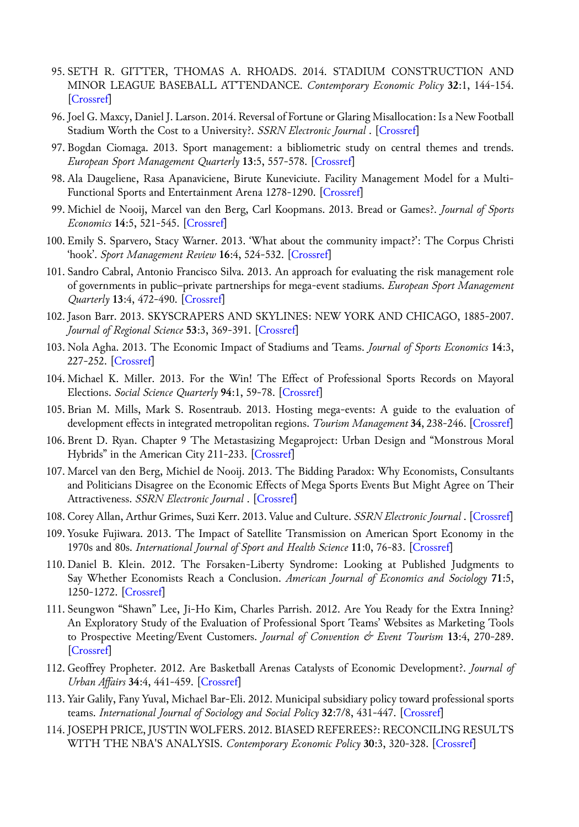- 95. SETH R. GITTER, THOMAS A. RHOADS. 2014. STADIUM CONSTRUCTION AND MINOR LEAGUE BASEBALL ATTENDANCE. *Contemporary Economic Policy* **32**:1, 144-154. [\[Crossref](https://doi.org/10.1111/coep.12016)]
- 96. Joel G. Maxcy, Daniel J. Larson. 2014. Reversal of Fortune or Glaring Misallocation: Is a New Football Stadium Worth the Cost to a University?. *SSRN Electronic Journal* . [[Crossref\]](https://doi.org/10.2139/ssrn.2382280)
- 97. Bogdan Ciomaga. 2013. Sport management: a bibliometric study on central themes and trends. *European Sport Management Quarterly* **13**:5, 557-578. [[Crossref\]](https://doi.org/10.1080/16184742.2013.838283)
- 98. Ala Daugeliene, Rasa Apanaviciene, Birute Kuneviciute. Facility Management Model for a Multi-Functional Sports and Entertainment Arena 1278-1290. [\[Crossref](https://doi.org/10.1061/9780784413135.124)]
- 99. Michiel de Nooij, Marcel van den Berg, Carl Koopmans. 2013. Bread or Games?. *Journal of Sports Economics* **14**:5, 521-545. [[Crossref\]](https://doi.org/10.1177/1527002511429825)
- 100. Emily S. Sparvero, Stacy Warner. 2013. 'What about the community impact?': The Corpus Christi 'hook'. *Sport Management Review* **16**:4, 524-532. [[Crossref\]](https://doi.org/10.1016/j.smr.2012.11.003)
- 101. Sandro Cabral, Antonio Francisco Silva. 2013. An approach for evaluating the risk management role of governments in public–private partnerships for mega-event stadiums. *European Sport Management Quarterly* **13**:4, 472-490. [[Crossref\]](https://doi.org/10.1080/16184742.2013.811607)
- 102. Jason Barr. 2013. SKYSCRAPERS AND SKYLINES: NEW YORK AND CHICAGO, 1885-2007. *Journal of Regional Science* **53**:3, 369-391. [\[Crossref](https://doi.org/10.1111/jors.12017)]
- 103. Nola Agha. 2013. The Economic Impact of Stadiums and Teams. *Journal of Sports Economics* **14**:3, 227-252. [\[Crossref\]](https://doi.org/10.1177/1527002511422939)
- 104. Michael K. Miller. 2013. For the Win! The Effect of Professional Sports Records on Mayoral Elections. *Social Science Quarterly* **94**:1, 59-78. [[Crossref\]](https://doi.org/10.1111/j.1540-6237.2012.00898.x)
- 105. Brian M. Mills, Mark S. Rosentraub. 2013. Hosting mega-events: A guide to the evaluation of development effects in integrated metropolitan regions. *Tourism Management* **34**, 238-246. [[Crossref\]](https://doi.org/10.1016/j.tourman.2012.03.011)
- 106. Brent D. Ryan. Chapter 9 The Metastasizing Megaproject: Urban Design and "Monstrous Moral Hybrids" in the American City 211-233. [\[Crossref\]](https://doi.org/10.1108/S1047-0042(2013)0000013014)
- 107. Marcel van den Berg, Michiel de Nooij. 2013. The Bidding Paradox: Why Economists, Consultants and Politicians Disagree on the Economic Effects of Mega Sports Events But Might Agree on Their Attractiveness. *SSRN Electronic Journal* . [[Crossref\]](https://doi.org/10.2139/ssrn.2316763)
- 108. Corey Allan, Arthur Grimes, Suzi Kerr. 2013. Value and Culture. *SSRN Electronic Journal* . [[Crossref\]](https://doi.org/10.2139/ssrn.2319202)
- 109. Yosuke Fujiwara. 2013. The Impact of Satellite Transmission on American Sport Economy in the 1970s and 80s. *International Journal of Sport and Health Science* **11**:0, 76-83. [\[Crossref](https://doi.org/10.5432/ijshs.201301)]
- 110.Daniel B. Klein. 2012. The Forsaken-Liberty Syndrome: Looking at Published Judgments to Say Whether Economists Reach a Conclusion. *American Journal of Economics and Sociology* **71**:5, 1250-1272. [[Crossref\]](https://doi.org/10.1111/j.1536-7150.2012.00859.x)
- 111. Seungwon "Shawn" Lee, Ji-Ho Kim, Charles Parrish. 2012. Are You Ready for the Extra Inning? An Exploratory Study of the Evaluation of Professional Sport Teams' Websites as Marketing Tools to Prospective Meeting/Event Customers. *Journal of Convention & Event Tourism* **13**:4, 270-289. [\[Crossref](https://doi.org/10.1080/15470148.2012.728974)]
- 112. Geoffrey Propheter. 2012. Are Basketball Arenas Catalysts of Economic Development?. *Journal of Urban Affairs* **34**:4, 441-459. [[Crossref\]](https://doi.org/10.1111/j.1467-9906.2011.00597.x)
- 113. Yair Galily, Fany Yuval, Michael Bar‐Eli. 2012. Municipal subsidiary policy toward professional sports teams. *International Journal of Sociology and Social Policy* **32**:7/8, 431-447. [\[Crossref](https://doi.org/10.1108/01443331211249066)]
- 114. JOSEPH PRICE, JUSTIN WOLFERS. 2012. BIASED REFEREES?: RECONCILING RESULTS WITH THE NBA'S ANALYSIS. *Contemporary Economic Policy* **30**:3, 320-328. [\[Crossref](https://doi.org/10.1111/j.1465-7287.2011.00268.x)]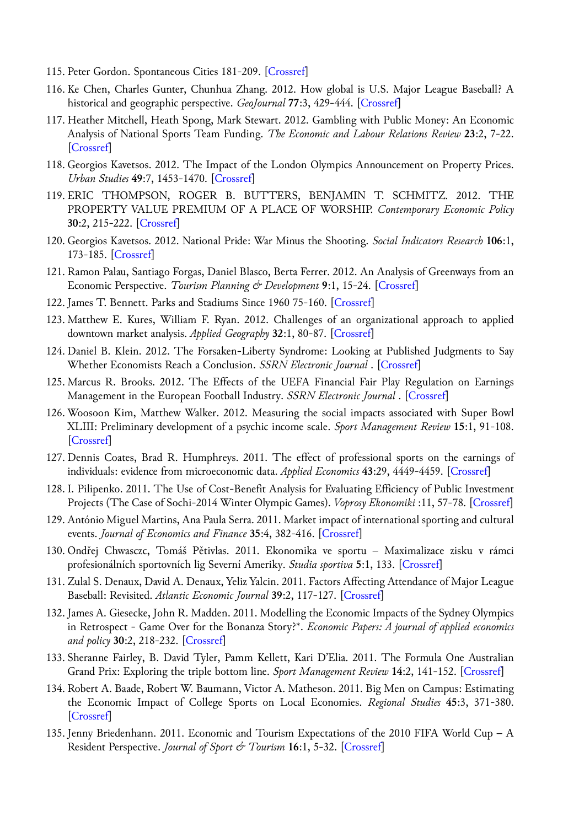- 115. Peter Gordon. Spontaneous Cities 181-209. [\[Crossref](https://doi.org/10.1108/S1529-2134(2012)0000016010)]
- 116. Ke Chen, Charles Gunter, Chunhua Zhang. 2012. How global is U.S. Major League Baseball? A historical and geographic perspective. *GeoJournal* **77**:3, 429-444. [[Crossref\]](https://doi.org/10.1007/s10708-011-9406-x)
- 117. Heather Mitchell, Heath Spong, Mark Stewart. 2012. Gambling with Public Money: An Economic Analysis of National Sports Team Funding. *The Economic and Labour Relations Review* **23**:2, 7-22. [\[Crossref](https://doi.org/10.1177/103530461202300202)]
- 118. Georgios Kavetsos. 2012. The Impact of the London Olympics Announcement on Property Prices. *Urban Studies* **49**:7, 1453-1470. [[Crossref\]](https://doi.org/10.1177/0042098011415436)
- 119. ERIC THOMPSON, ROGER B. BUTTERS, BENJAMIN T. SCHMITZ. 2012. THE PROPERTY VALUE PREMIUM OF A PLACE OF WORSHIP. *Contemporary Economic Policy* **30**:2, 215-222. [[Crossref\]](https://doi.org/10.1111/j.1465-7287.2011.00255.x)
- 120. Georgios Kavetsos. 2012. National Pride: War Minus the Shooting. *Social Indicators Research* **106**:1, 173-185. [\[Crossref\]](https://doi.org/10.1007/s11205-011-9801-1)
- 121. Ramon Palau, Santiago Forgas, Daniel Blasco, Berta Ferrer. 2012. An Analysis of Greenways from an Economic Perspective. *Tourism Planning & Development* **9**:1, 15-24. [\[Crossref](https://doi.org/10.1080/21568316.2012.653477)]
- 122. James T. Bennett. Parks and Stadiums Since 1960 75-160. [[Crossref\]](https://doi.org/10.1007/978-1-4614-3332-3_4)
- 123. Matthew E. Kures, William F. Ryan. 2012. Challenges of an organizational approach to applied downtown market analysis. *Applied Geography* **32**:1, 80-87. [[Crossref\]](https://doi.org/10.1016/j.apgeog.2010.06.004)
- 124.Daniel B. Klein. 2012. The Forsaken-Liberty Syndrome: Looking at Published Judgments to Say Whether Economists Reach a Conclusion. *SSRN Electronic Journal* . [\[Crossref](https://doi.org/10.2139/ssrn.2139400)]
- 125. Marcus R. Brooks. 2012. The Effects of the UEFA Financial Fair Play Regulation on Earnings Management in the European Football Industry. *SSRN Electronic Journal* . [[Crossref\]](https://doi.org/10.2139/ssrn.2280661)
- 126. Woosoon Kim, Matthew Walker. 2012. Measuring the social impacts associated with Super Bowl XLIII: Preliminary development of a psychic income scale. *Sport Management Review* **15**:1, 91-108. [\[Crossref](https://doi.org/10.1016/j.smr.2011.05.007)]
- 127.Dennis Coates, Brad R. Humphreys. 2011. The effect of professional sports on the earnings of individuals: evidence from microeconomic data. *Applied Economics* **43**:29, 4449-4459. [\[Crossref](https://doi.org/10.1080/00036846.2010.491464)]
- 128. I. Pilipenko. 2011. The Use of Cost-Benefit Analysis for Evaluating Efficiency of Public Investment Projects (The Case of Sochi-2014 Winter Olympic Games). *Voprosy Ekonomiki* :11, 57-78. [[Crossref\]](https://doi.org/10.32609/0042-8736-2011-11-57-78)
- 129. António Miguel Martins, Ana Paula Serra. 2011. Market impact of international sporting and cultural events. *Journal of Economics and Finance* **35**:4, 382-416. [\[Crossref](https://doi.org/10.1007/s12197-009-9087-1)]
- 130. Ondřej Chwasczc, Tomáš Pětivlas. 2011. Ekonomika ve sportu Maximalizace zisku v rámci profesionálních sportovních lig Severní Ameriky. *Studia sportiva* **5**:1, 133. [\[Crossref](https://doi.org/10.5817/StS2011-1-15)]
- 131. Zulal S. Denaux, David A. Denaux, Yeliz Yalcin. 2011. Factors Affecting Attendance of Major League Baseball: Revisited. *Atlantic Economic Journal* **39**:2, 117-127. [\[Crossref](https://doi.org/10.1007/s11293-011-9274-2)]
- 132. James A. Giesecke, John R. Madden. 2011. Modelling the Economic Impacts of the Sydney Olympics in Retrospect - Game Over for the Bonanza Story?\*. *Economic Papers: A journal of applied economics and policy* **30**:2, 218-232. [[Crossref\]](https://doi.org/10.1111/j.1759-3441.2011.00109.x)
- 133. Sheranne Fairley, B. David Tyler, Pamm Kellett, Kari D'Elia. 2011. The Formula One Australian Grand Prix: Exploring the triple bottom line. *Sport Management Review* **14**:2, 141-152. [[Crossref\]](https://doi.org/10.1016/j.smr.2010.07.001)
- 134. Robert A. Baade, Robert W. Baumann, Victor A. Matheson. 2011. Big Men on Campus: Estimating the Economic Impact of College Sports on Local Economies. *Regional Studies* **45**:3, 371-380. [\[Crossref](https://doi.org/10.1080/00343400903241519)]
- 135. Jenny Briedenhann. 2011. Economic and Tourism Expectations of the 2010 FIFA World Cup A Resident Perspective. *Journal of Sport & Tourism* **16**:1, 5-32. [[Crossref\]](https://doi.org/10.1080/14775085.2011.568085)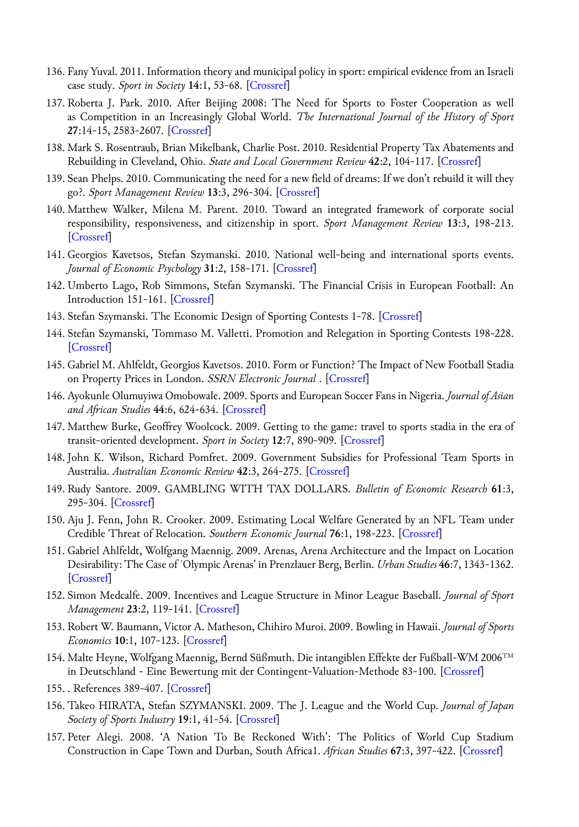- 136. Fany Yuval. 2011. Information theory and municipal policy in sport: empirical evidence from an Israeli case study. *Sport in Society* **14**:1, 53-68. [\[Crossref](https://doi.org/10.1080/17430437.2011.530010)]
- 137. Roberta J. Park. 2010. After Beijing 2008: The Need for Sports to Foster Cooperation as well as Competition in an Increasingly Global World. *The International Journal of the History of Sport* **27**:14-15, 2583-2607. [[Crossref\]](https://doi.org/10.1080/09523367.2010.504592)
- 138. Mark S. Rosentraub, Brian Mikelbank, Charlie Post. 2010. Residential Property Tax Abatements and Rebuilding in Cleveland, Ohio. *State and Local Government Review* **42**:2, 104-117. [[Crossref\]](https://doi.org/10.1177/0160323X10378607)
- 139. Sean Phelps. 2010. Communicating the need for a new field of dreams: If we don't rebuild it will they go?. *Sport Management Review* **13**:3, 296-304. [\[Crossref](https://doi.org/10.1016/j.smr.2009.09.005)]
- 140. Matthew Walker, Milena M. Parent. 2010. Toward an integrated framework of corporate social responsibility, responsiveness, and citizenship in sport. *Sport Management Review* **13**:3, 198-213. [\[Crossref](https://doi.org/10.1016/j.smr.2010.03.003)]
- 141. Georgios Kavetsos, Stefan Szymanski. 2010. National well-being and international sports events. *Journal of Economic Psychology* **31**:2, 158-171. [[Crossref\]](https://doi.org/10.1016/j.joep.2009.11.005)
- 142. Umberto Lago, Rob Simmons, Stefan Szymanski. The Financial Crisis in European Football: An Introduction 151-161. [\[Crossref](https://doi.org/10.1057/9780230274266_7)]
- 143. Stefan Szymanski. The Economic Design of Sporting Contests 1-78. [[Crossref\]](https://doi.org/10.1057/9780230274273_1)
- 144. Stefan Szymanski, Tommaso M. Valletti. Promotion and Relegation in Sporting Contests 198-228. [\[Crossref](https://doi.org/10.1057/9780230274273_6)]
- 145. Gabriel M. Ahlfeldt, Georgios Kavetsos. 2010. Form or Function? The Impact of New Football Stadia on Property Prices in London. *SSRN Electronic Journal* . [\[Crossref](https://doi.org/10.2139/ssrn.1676928)]
- 146. Ayokunle Olumuyiwa Omobowale. 2009. Sports and European Soccer Fans in Nigeria. *Journal of Asian and African Studies* **44**:6, 624-634. [[Crossref\]](https://doi.org/10.1177/0021909609343412)
- 147. Matthew Burke, Geoffrey Woolcock. 2009. Getting to the game: travel to sports stadia in the era of transit-oriented development. *Sport in Society* **12**:7, 890-909. [[Crossref\]](https://doi.org/10.1080/17430430903053158)
- 148. John K. Wilson, Richard Pomfret. 2009. Government Subsidies for Professional Team Sports in Australia. *Australian Economic Review* **42**:3, 264-275. [\[Crossref](https://doi.org/10.1111/j.1467-8462.2009.00536.x)]
- 149. Rudy Santore. 2009. GAMBLING WITH TAX DOLLARS. *Bulletin of Economic Research* **61**:3, 295-304. [\[Crossref\]](https://doi.org/10.1111/j.1467-8586.2009.00307.x)
- 150. Aju J. Fenn, John R. Crooker. 2009. Estimating Local Welfare Generated by an NFL Team under Credible Threat of Relocation. *Southern Economic Journal* **76**:1, 198-223. [[Crossref\]](https://doi.org/10.4284/sej.2009.76.1.198)
- 151. Gabriel Ahlfeldt, Wolfgang Maennig. 2009. Arenas, Arena Architecture and the Impact on Location Desirability: The Case of `Olympic Arenas' in Prenzlauer Berg, Berlin. *Urban Studies* **46**:7, 1343-1362. [\[Crossref](https://doi.org/10.1177/0042098009104569)]
- 152. Simon Medcalfe. 2009. Incentives and League Structure in Minor League Baseball. *Journal of Sport Management* **23**:2, 119-141. [\[Crossref](https://doi.org/10.1123/jsm.23.2.119)]
- 153. Robert W. Baumann, Victor A. Matheson, Chihiro Muroi. 2009. Bowling in Hawaii. *Journal of Sports Economics* **10**:1, 107-123. [[Crossref\]](https://doi.org/10.1177/1527002508327401)
- 154. Malte Heyne, Wolfgang Maennig, Bernd Süßmuth. Die intangiblen Effekte der Fußball-WM 2006™ in Deutschland - Eine Bewertung mit der Contingent-Valuation-Methode 83-100. [\[Crossref](https://doi.org/10.1007/978-3-531-91609-5_5)]
- 155. . References 389-407. [\[Crossref\]](https://doi.org/10.1016/B978-0-7506-8354-8.00013-2)
- 156. Takeo HIRATA, Stefan SZYMANSKI. 2009. The J. League and the World Cup. *Journal of Japan Society of Sports Industry* **19**:1, 41-54. [\[Crossref](https://doi.org/10.5997/sposun.19.41)]
- 157. Peter Alegi. 2008. 'A Nation To Be Reckoned With': The Politics of World Cup Stadium Construction in Cape Town and Durban, South Africa1. *African Studies* **67**:3, 397-422. [[Crossref\]](https://doi.org/10.1080/00020180802505038)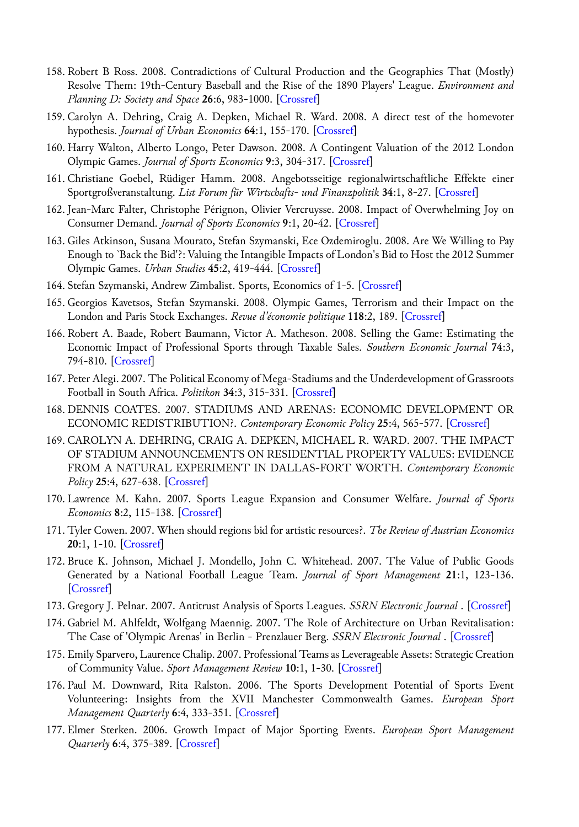- 158. Robert B Ross. 2008. Contradictions of Cultural Production and the Geographies That (Mostly) Resolve Them: 19th-Century Baseball and the Rise of the 1890 Players' League. *Environment and Planning D: Society and Space* **26**:6, 983-1000. [[Crossref\]](https://doi.org/10.1068/d4408)
- 159. Carolyn A. Dehring, Craig A. Depken, Michael R. Ward. 2008. A direct test of the homevoter hypothesis. *Journal of Urban Economics* **64**:1, 155-170. [[Crossref\]](https://doi.org/10.1016/j.jue.2007.11.001)
- 160. Harry Walton, Alberto Longo, Peter Dawson. 2008. A Contingent Valuation of the 2012 London Olympic Games. *Journal of Sports Economics* **9**:3, 304-317. [[Crossref\]](https://doi.org/10.1177/1527002507308769)
- 161. Christiane Goebel, Rüdiger Hamm. 2008. Angebotsseitige regionalwirtschaftliche Effekte einer Sportgroßveranstaltung. *List Forum für Wirtschafts- und Finanzpolitik* **34**:1, 8-27. [[Crossref\]](https://doi.org/10.1007/BF03373282)
- 162. Jean-Marc Falter, Christophe Pérignon, Olivier Vercruysse. 2008. Impact of Overwhelming Joy on Consumer Demand. *Journal of Sports Economics* **9**:1, 20-42. [\[Crossref](https://doi.org/10.1177/1527002506296548)]
- 163. Giles Atkinson, Susana Mourato, Stefan Szymanski, Ece Ozdemiroglu. 2008. Are We Willing to Pay Enough to `Back the Bid'?: Valuing the Intangible Impacts of London's Bid to Host the 2012 Summer Olympic Games. *Urban Studies* **45**:2, 419-444. [\[Crossref](https://doi.org/10.1177/0042098007085971)]
- 164. Stefan Szymanski, Andrew Zimbalist. Sports, Economics of 1-5. [[Crossref\]](https://doi.org/10.1057/978-1-349-95121-5_2323-1)
- 165. Georgios Kavetsos, Stefan Szymanski. 2008. Olympic Games, Terrorism and their Impact on the London and Paris Stock Exchanges. *Revue d'économie politique* **118**:2, 189. [\[Crossref](https://doi.org/10.3917/redp.182.0189)]
- 166. Robert A. Baade, Robert Baumann, Victor A. Matheson. 2008. Selling the Game: Estimating the Economic Impact of Professional Sports through Taxable Sales. *Southern Economic Journal* **74**:3, 794-810. [\[Crossref\]](https://doi.org/10.1002/j.2325-8012.2008.tb00864.x)
- 167. Peter Alegi. 2007. The Political Economy of Mega-Stadiums and the Underdevelopment of Grassroots Football in South Africa. *Politikon* **34**:3, 315-331. [\[Crossref](https://doi.org/10.1080/02589340801962635)]
- 168.DENNIS COATES. 2007. STADIUMS AND ARENAS: ECONOMIC DEVELOPMENT OR ECONOMIC REDISTRIBUTION?. *Contemporary Economic Policy* **25**:4, 565-577. [[Crossref\]](https://doi.org/10.1111/j.1465-7287.2007.00073.x)
- 169. CAROLYN A. DEHRING, CRAIG A. DEPKEN, MICHAEL R. WARD. 2007. THE IMPACT OF STADIUM ANNOUNCEMENTS ON RESIDENTIAL PROPERTY VALUES: EVIDENCE FROM A NATURAL EXPERIMENT IN DALLAS-FORT WORTH. *Contemporary Economic Policy* **25**:4, 627-638. [\[Crossref](https://doi.org/10.1111/j.1465-7287.2007.00077.x)]
- 170. Lawrence M. Kahn. 2007. Sports League Expansion and Consumer Welfare. *Journal of Sports Economics* **8**:2, 115-138. [[Crossref\]](https://doi.org/10.1177/1527002505281227)
- 171. Tyler Cowen. 2007. When should regions bid for artistic resources?. *The Review of Austrian Economics* **20**:1, 1-10. [[Crossref\]](https://doi.org/10.1007/s11138-006-0001-1)
- 172. Bruce K. Johnson, Michael J. Mondello, John C. Whitehead. 2007. The Value of Public Goods Generated by a National Football League Team. *Journal of Sport Management* **21**:1, 123-136. [\[Crossref](https://doi.org/10.1123/jsm.21.1.123)]
- 173. Gregory J. Pelnar. 2007. Antitrust Analysis of Sports Leagues. *SSRN Electronic Journal* . [[Crossref\]](https://doi.org/10.2139/ssrn.1021365)
- 174. Gabriel M. Ahlfeldt, Wolfgang Maennig. 2007. The Role of Architecture on Urban Revitalisation: The Case of 'Olympic Arenas' in Berlin - Prenzlauer Berg. *SSRN Electronic Journal* . [\[Crossref](https://doi.org/10.2139/ssrn.1531813)]
- 175. Emily Sparvero, Laurence Chalip. 2007. Professional Teams as Leverageable Assets: Strategic Creation of Community Value. *Sport Management Review* **10**:1, 1-30. [\[Crossref](https://doi.org/10.1016/S1441-3523(07)70001-3)]
- 176. Paul M. Downward, Rita Ralston. 2006. The Sports Development Potential of Sports Event Volunteering: Insights from the XVII Manchester Commonwealth Games. *European Sport Management Quarterly* **6**:4, 333-351. [[Crossref\]](https://doi.org/10.1080/16184740601154474)
- 177. Elmer Sterken. 2006. Growth Impact of Major Sporting Events. *European Sport Management Quarterly* **6**:4, 375-389. [\[Crossref](https://doi.org/10.1080/16184740601154516)]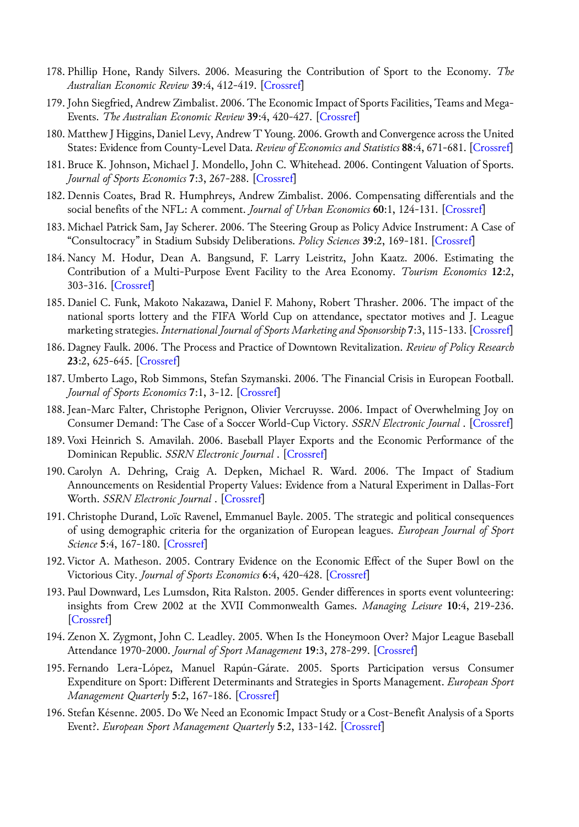- 178. Phillip Hone, Randy Silvers. 2006. Measuring the Contribution of Sport to the Economy. *The Australian Economic Review* **39**:4, 412-419. [[Crossref\]](https://doi.org/10.1111/j.1467-8462.2006.00430.x)
- 179. John Siegfried, Andrew Zimbalist. 2006. The Economic Impact of Sports Facilities, Teams and Mega-Events. *The Australian Economic Review* **39**:4, 420-427. [\[Crossref](https://doi.org/10.1111/j.1467-8462.2006.00431.x)]
- 180. Matthew J Higgins, Daniel Levy, Andrew T Young. 2006. Growth and Convergence across the United States: Evidence from County-Level Data. *Review of Economics and Statistics* **88**:4, 671-681. [[Crossref\]](https://doi.org/10.1162/rest.88.4.671)
- 181. Bruce K. Johnson, Michael J. Mondello, John C. Whitehead. 2006. Contingent Valuation of Sports. *Journal of Sports Economics* **7**:3, 267-288. [\[Crossref](https://doi.org/10.1177/1527002504272943)]
- 182.Dennis Coates, Brad R. Humphreys, Andrew Zimbalist. 2006. Compensating differentials and the social benefits of the NFL: A comment. *Journal of Urban Economics* **60**:1, 124-131. [[Crossref\]](https://doi.org/10.1016/j.jue.2006.01.001)
- 183. Michael Patrick Sam, Jay Scherer. 2006. The Steering Group as Policy Advice Instrument: A Case of "Consultocracy" in Stadium Subsidy Deliberations. *Policy Sciences* **39**:2, 169-181. [[Crossref\]](https://doi.org/10.1007/s11077-006-9014-7)
- 184. Nancy M. Hodur, Dean A. Bangsund, F. Larry Leistritz, John Kaatz. 2006. Estimating the Contribution of a Multi-Purpose Event Facility to the Area Economy. *Tourism Economics* **12**:2, 303-316. [\[Crossref\]](https://doi.org/10.5367/000000006777637449)
- 185.Daniel C. Funk, Makoto Nakazawa, Daniel F. Mahony, Robert Thrasher. 2006. The impact of the national sports lottery and the FIFA World Cup on attendance, spectator motives and J. League marketing strategies. *International Journal of Sports Marketing and Sponsorship* **7**:3, 115-133. [[Crossref\]](https://doi.org/10.1108/IJSMS-07-03-2006-B011)
- 186.Dagney Faulk. 2006. The Process and Practice of Downtown Revitalization. *Review of Policy Research* **23**:2, 625-645. [[Crossref\]](https://doi.org/10.1111/j.1541-1338.2006.00219.x)
- 187. Umberto Lago, Rob Simmons, Stefan Szymanski. 2006. The Financial Crisis in European Football. *Journal of Sports Economics* **7**:1, 3-12. [\[Crossref](https://doi.org/10.1177/1527002505282871)]
- 188. Jean-Marc Falter, Christophe Perignon, Olivier Vercruysse. 2006. Impact of Overwhelming Joy on Consumer Demand: The Case of a Soccer World-Cup Victory. *SSRN Electronic Journal* . [[Crossref\]](https://doi.org/10.2139/ssrn.650741)
- 189. Voxi Heinrich S. Amavilah. 2006. Baseball Player Exports and the Economic Performance of the Dominican Republic. *SSRN Electronic Journal* . [[Crossref\]](https://doi.org/10.2139/ssrn.915817)
- 190. Carolyn A. Dehring, Craig A. Depken, Michael R. Ward. 2006. The Impact of Stadium Announcements on Residential Property Values: Evidence from a Natural Experiment in Dallas-Fort Worth. *SSRN Electronic Journal* . [\[Crossref](https://doi.org/10.2139/ssrn.993250)]
- 191. Christophe Durand, Loïc Ravenel, Emmanuel Bayle. 2005. The strategic and political consequences of using demographic criteria for the organization of European leagues. *European Journal of Sport Science* **5**:4, 167-180. [[Crossref\]](https://doi.org/10.1080/17461390500344321)
- 192. Victor A. Matheson. 2005. Contrary Evidence on the Economic Effect of the Super Bowl on the Victorious City. *Journal of Sports Economics* **6**:4, 420-428. [[Crossref\]](https://doi.org/10.1177/1527002504267489)
- 193. Paul Downward, Les Lumsdon, Rita Ralston. 2005. Gender differences in sports event volunteering: insights from Crew 2002 at the XVII Commonwealth Games. *Managing Leisure* **10**:4, 219-236. [\[Crossref](https://doi.org/10.1080/13606710500348086)]
- 194. Zenon X. Zygmont, John C. Leadley. 2005. When Is the Honeymoon Over? Major League Baseball Attendance 1970-2000. *Journal of Sport Management* **19**:3, 278-299. [\[Crossref](https://doi.org/10.1123/jsm.19.3.278)]
- 195. Fernando Lera-López, Manuel Rapún-Gárate. 2005. Sports Participation versus Consumer Expenditure on Sport: Different Determinants and Strategies in Sports Management. *European Sport Management Quarterly* **5**:2, 167-186. [[Crossref\]](https://doi.org/10.1080/16184740500188656)
- 196. Stefan Késenne. 2005. Do We Need an Economic Impact Study or a Cost-Benefit Analysis of a Sports Event?. *European Sport Management Quarterly* **5**:2, 133-142. [[Crossref\]](https://doi.org/10.1080/16184740500188789)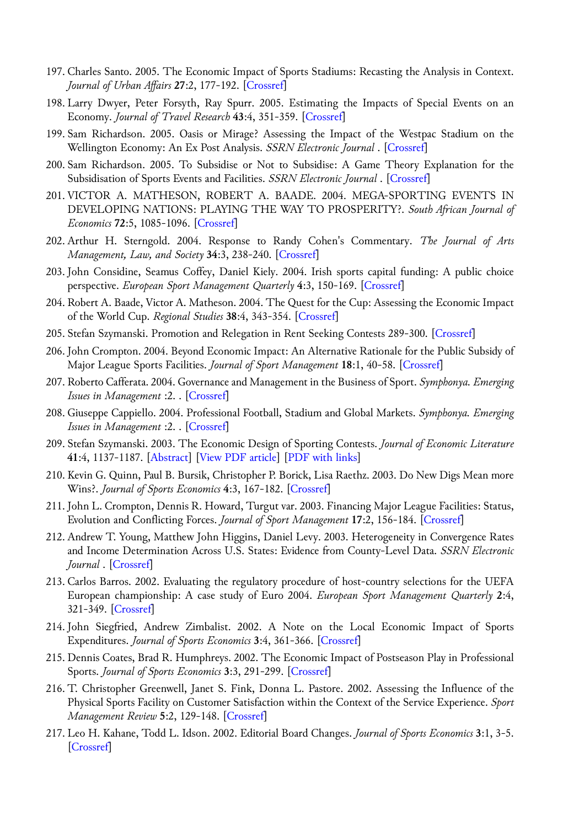- 197. Charles Santo. 2005. The Economic Impact of Sports Stadiums: Recasting the Analysis in Context. *Journal of Urban Affairs* **27**:2, 177-192. [[Crossref\]](https://doi.org/10.1111/j.0735-2166.2005.00231.x)
- 198. Larry Dwyer, Peter Forsyth, Ray Spurr. 2005. Estimating the Impacts of Special Events on an Economy. *Journal of Travel Research* **43**:4, 351-359. [[Crossref\]](https://doi.org/10.1177/0047287505274648)
- 199. Sam Richardson. 2005. Oasis or Mirage? Assessing the Impact of the Westpac Stadium on the Wellington Economy: An Ex Post Analysis. *SSRN Electronic Journal* . [\[Crossref](https://doi.org/10.2139/ssrn.968531)]
- 200. Sam Richardson. 2005. To Subsidise or Not to Subsidise: A Game Theory Explanation for the Subsidisation of Sports Events and Facilities. *SSRN Electronic Journal* . [[Crossref\]](https://doi.org/10.2139/ssrn.968533)
- 201. VICTOR A. MATHESON, ROBERT A. BAADE. 2004. MEGA-SPORTING EVENTS IN DEVELOPING NATIONS: PLAYING THE WAY TO PROSPERITY?. *South African Journal of Economics* **72**:5, 1085-1096. [[Crossref\]](https://doi.org/10.1111/j.1813-6982.2004.tb00147.x)
- 202. Arthur H. Sterngold. 2004. Response to Randy Cohen's Commentary. *The Journal of Arts Management, Law, and Society* **34**:3, 238-240. [[Crossref\]](https://doi.org/10.3200/JAML.34.3.238-240)
- 203. John Considine, Seamus Coffey, Daniel Kiely. 2004. Irish sports capital funding: A public choice perspective. *European Sport Management Quarterly* **4**:3, 150-169. [[Crossref](https://doi.org/10.1080/16184740408737474)]
- 204. Robert A. Baade, Victor A. Matheson. 2004. The Quest for the Cup: Assessing the Economic Impact of the World Cup. *Regional Studies* **38**:4, 343-354. [[Crossref\]](https://doi.org/10.1080/03434002000213888)
- 205. Stefan Szymanski. Promotion and Relegation in Rent Seeking Contests 289-300. [[Crossref\]](https://doi.org/10.1007/978-3-540-24734-0_18)
- 206. John Crompton. 2004. Beyond Economic Impact: An Alternative Rationale for the Public Subsidy of Major League Sports Facilities. *Journal of Sport Management* **18**:1, 40-58. [[Crossref\]](https://doi.org/10.1123/jsm.18.1.40)
- 207. Roberto Cafferata. 2004. Governance and Management in the Business of Sport. *Symphonya. Emerging Issues in Management* :2. . [\[Crossref](https://doi.org/10.4468/2004.2.02cafferata)]
- 208. Giuseppe Cappiello. 2004. Professional Football, Stadium and Global Markets. *Symphonya. Emerging Issues in Management* :2. . [\[Crossref](https://doi.org/10.4468/2004.2.07cappiello)]
- 209. Stefan Szymanski. 2003. The Economic Design of Sporting Contests. *Journal of Economic Literature* **41**:4, 1137-1187. [[Abstract\]](https://doi.org/10.1257/002205103771800004) [[View PDF article\]](http://pubs.aeaweb.org/doi/pdf/10.1257/002205103771800004) [[PDF with links\]](http://pubs.aeaweb.org/doi/pdfplus/10.1257/002205103771800004)
- 210. Kevin G. Quinn, Paul B. Bursik, Christopher P. Borick, Lisa Raethz. 2003. Do New Digs Mean more Wins?. *Journal of Sports Economics* **4**:3, 167-182. [[Crossref\]](https://doi.org/10.1177/1527002503251966)
- 211. John L. Crompton, Dennis R. Howard, Turgut var. 2003. Financing Major League Facilities: Status, Evolution and Conflicting Forces. *Journal of Sport Management* **17**:2, 156-184. [[Crossref\]](https://doi.org/10.1123/jsm.17.2.156)
- 212. Andrew T. Young, Matthew John Higgins, Daniel Levy. 2003. Heterogeneity in Convergence Rates and Income Determination Across U.S. States: Evidence from County-Level Data. *SSRN Electronic Journal* . [\[Crossref](https://doi.org/10.2139/ssrn.499622)]
- 213. Carlos Barros. 2002. Evaluating the regulatory procedure of host-country selections for the UEFA European championship: A case study of Euro 2004. *European Sport Management Quarterly* **2**:4, 321-349. [\[Crossref\]](https://doi.org/10.1080/16184740208721932)
- 214. John Siegfried, Andrew Zimbalist. 2002. A Note on the Local Economic Impact of Sports Expenditures. *Journal of Sports Economics* **3**:4, 361-366. [\[Crossref](https://doi.org/10.1177/152700202237501)]
- 215.Dennis Coates, Brad R. Humphreys. 2002. The Economic Impact of Postseason Play in Professional Sports. *Journal of Sports Economics* **3**:3, 291-299. [\[Crossref](https://doi.org/10.1177/1527002502003003005)]
- 216. T. Christopher Greenwell, Janet S. Fink, Donna L. Pastore. 2002. Assessing the Influence of the Physical Sports Facility on Customer Satisfaction within the Context of the Service Experience. *Sport Management Review* **5**:2, 129-148. [\[Crossref](https://doi.org/10.1016/S1441-3523(02)70064-8)]
- 217. Leo H. Kahane, Todd L. Idson. 2002. Editorial Board Changes. *Journal of Sports Economics* **3**:1, 3-5. [\[Crossref](https://doi.org/10.1177/1527002502003001001)]